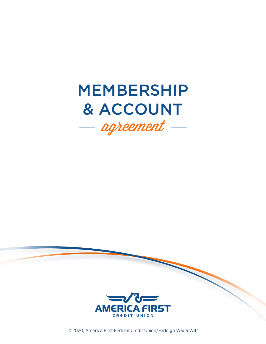# MEMBERSHIP & ACCOUNT agreement  $-$



© 2020, America First Federal Credit Union/Farleigh Wada Witt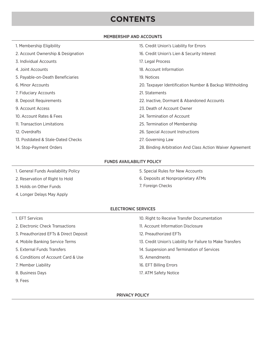# **CONTENTS**

#### MEMBERSHIP AND ACCOUNTS

| 1. Membership Eligibility          | 15. Credit Union's Liability for Errors                   |
|------------------------------------|-----------------------------------------------------------|
| 2. Account Ownership & Designation | 16. Credit Union's Lien & Security Interest               |
| 3. Individual Accounts             | 17. Legal Process                                         |
| 4. Joint Accounts                  | 18. Account Information                                   |
| 5. Payable-on-Death Beneficiaries  | 19. Notices                                               |
| 6. Minor Accounts                  | 20. Taxpayer Identification Number & Backup Withholding   |
| 7. Fiduciary Accounts              | 21. Statements                                            |
| 8. Deposit Requirements            | 22. Inactive, Dormant & Abandoned Accounts                |
| 9. Account Access                  | 23. Death of Account Owner                                |
| 10. Account Rates & Fees           | 24. Termination of Account                                |
| 11. Transaction Limitations        | 25. Termination of Membership                             |
| 12. Overdrafts                     | 26. Special Account Instructions                          |
| 13. Postdated & Stale-Dated Checks | 27. Governing Law                                         |
| 14. Stop-Payment Orders            | 28. Binding Arbitration And Class Action Waiver Agreement |

#### FUNDS AVAILABILITY POLICY

- 1. General Funds Availability Policy
- 2. Reservation of Right to Hold
- 3. Holds on Other Funds
- 4. Longer Delays May Apply
- 5. Special Rules for New Accounts
- 6. Deposits at Nonproprietary ATMs
- 7. Foreign Checks

#### ELECTRONIC SERVICES

| 1. EFT Services                        | 10. Right to Receive Transfer Documentation                |
|----------------------------------------|------------------------------------------------------------|
| 2. Electronic Check Transactions       | 11. Account Information Disclosure                         |
| 3. Preauthorized EFTs & Direct Deposit | 12. Preauthorized EFTs                                     |
| 4. Mobile Banking Service Terms        | 13. Credit Union's Liability for Failure to Make Transfers |
| 5. External Funds Transfers            | 14. Suspension and Termination of Services                 |
| 6. Conditions of Account Card & Use    | 15. Amendments                                             |
| 7. Member Liability                    | 16. EFT Billing Errors                                     |
| 8. Business Days                       | 17. ATM Safety Notice                                      |
| 9. Fees                                |                                                            |

PRIVACY POLICY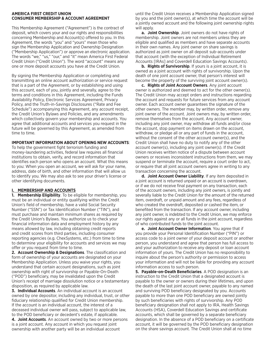#### **AMERICA FIRST CREDIT UNION CONSUMER MEMBERSHIP & ACCOUNT AGREEMENT**

This Membership Agreement ("Agreement") is the contract of deposit, which covers your and our rights and responsibilities concerning Membership and Account(s) offered to you. In this Agreement, the words "you" and "yours" mean those who sign the Membership Application and Ownership Designation ("Membership Application") or approve an electronic application. The words "we," "us," "our," and "it" mean America First Federal Credit Union ("Credit Union"). The word "account" means any one or more deposit accounts you have at the Credit Union.

By signing the Membership Application or completing and transmitting an online account authorization or service request that is a part of the Agreement, or by establishing and using this account, each of you, jointly and severally, agree to the terms and conditions in this Agreement, including the Funds Availability Policy, Electronic Services Agreement, Privacy Policy, and the Truth-in-Savings Disclosures ("Rate and Fee Schedule") accompanying this Agreement, any account receipt, the Credit Union's Bylaws and Policies, and any amendments which collectively govern your membership and accounts. You agree that additional accounts and services you request in the future will be governed by this Agreement, as amended from time to time.

#### **IMPORTANT INFORMATION ABOUT OPENING NEW ACCOUNTS**:

To help the government fight terrorism funding and money-laundering activities, federal law requires all financial institutions to obtain, verify, and record information that identifies each person who opens an account. What this means to you: When you open an account, we will ask for your name, address, date of birth, and other information that will allow us to identify you. We may also ask to see your driver's license or other identifying documents.

#### **I. MEMBERSHIP AND ACCOUNTS**

**1. Membership Eligibility**. To be eligible for membership, you must be an individual or entity qualifying within the Credit Union's field of membership, have a valid Social Security Number ("SSN") or Tax Identification Number ("TIN"), and must purchase and maintain minimum shares as required by the Credit Union's Bylaws. You authorize us to check your financial information data and employment history by any means allowed by law, including obtaining credit reports and credit scores from third parties, including consumer reporting agencies (e.g. ChexSystems, etc.) from time to time to determine your eligibility for accounts and services we may offer or you request from time to time.

**2. Account Ownership & Designations**. The classification and form of ownership of your accounts are designated on your Membership Application. Unless you waive your rights, you understand that certain account designations, such as joint ownership with right of survivorship or Payable-On-Death ("POD") beneficiary, may be invalidated upon the Credit Union's receipt of marriage dissolution notice or a testamentary disposition, as required by applicable law.

**3. Individual Accounts**. An individual account is an account owned by one depositor, including any individual, trust, or other fiduciary relationship qualified for Credit Union membership. If the account is an individual account, the interest of a deceased individual owner will pass, subject to applicable law, to the POD beneficiary or decedent's estate, if applicable.

**4. Joint Accounts**. An account owned by two or more persons is a joint account. Any account in which you request joint ownership with another party will be an individual account

until the Credit Union receives a Membership Application signed by you and the joint owner(s), at which time the account will be a jointly owned account and the following joint ownership rights will apply.

**a. Joint Ownership**. Joint owners do not have rights of membership. Joint owners are not members unless they are eligible and qualified as members and have separate accounts in their own names. Any joint owner on share savings is authorized as joint owner on all deposit sub-accounts under that account (with the exception of Individual Retirement Accounts [IRAs] and Coverdell Education Savings Accounts).

**b. Rights of Survivorship**. If yours is a joint account, it is owned as a joint account with rights of survivorship. Upon the death of one joint account owner, that person's interest will become the property of the surviving joint account owner(s).

**c. Rights of Joint Account Owners**. Any joint account owner is authorized and deemed to act for the other owner(s). The Credit Union may accept orders and instructions regarding the account and requests for future services from any account owner. Each account owner guarantees the signature of the other owners. The member may, by written order, remove any joint owner of the account. Joint owners may, by written order, remove themselves from the account. Any account owner, including any joint owner, may withdraw all funds and/or close the account, stop payment on items drawn on the account, withdraw, or pledge all or any part of funds in the account, without the consent of the other account owner(s), and the Credit Union shall have no duty to notify any of the other account owner(s), including any joint owner(s). If the Credit Union receives written notice of a dispute between account owners or receives inconsistent instructions from them, we may suspend or terminate the account, require a court order to act, or require that all joint account owners agree in writing to any transaction concerning the account.

**d. Joint Account Owner Liability**. If any item deposited in a joint account is returned unpaid or an account is overdrawn, or if we do not receive final payment on any transaction, each of the account owners, including any joint owners, is jointly and severally liable to the Credit Union for the amount of the returned item, overdraft, or unpaid amount and any fees, regardless of who created the overdraft, deposited or cashed the item, or benefited from the transaction. If any account owner, including any joint owner, is indebted to the Credit Union, we may enforce our rights against any or all funds in the joint account, regardless of who contributed funds to the joint account.

**e. Joint Account Owner Information**. You agree that if you provide your Personal Identification Number ("PIN") or access code to a joint owner of your deposit account or another person, you understand and agree that person has full access to and your authorization to receive any deposit or loan account information of yours. The Credit Union has no responsibility to inquire about the person's authority or permission to access your information and will not be liable for providing any account information access to such person.

**5. Payable-on-Death Beneficiaries**. A POD designation is an instruction to the Credit Union that a designated account is payable to the owner or owners during their lifetimes, and upon the death of the last joint account owner, payable to any named and surviving POD beneficiary designated by you. Accounts payable to more than one POD beneficiary are owned jointly by such beneficiaries with rights of survivorship. Any POD beneficiary designation shall not apply to IRA, Health Savings Accounts (HSA), Coverdell Education Savings and certificate accounts, which shall be governed by a separate beneficiary designation. In the absence of a POD beneficiary on a certificate account, it will be governed by the POD beneficiary designation on the share savings account. The Credit Union shall at no time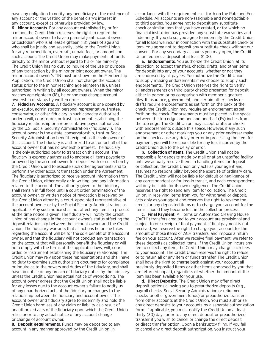have any obligation to notify any beneficiary of the existence of any account or the vesting of the beneficiary's interest in any account, except as otherwise provided by law.

**6. Minor Accounts**. For any account established by or for a minor, the Credit Union reserves the right to require the minor account owner to have a parental joint account owner or custodian who is at least eighteen (18) years of age and who shall be jointly and severally liable to the Credit Union for any returned item, overdraft, unpaid fees, or amounts on such account. The Credit Union may make payments of funds directly to the minor without regard to his or her minority. The Credit Union has no duty to inquire of the use or purpose of any transaction by the minor or joint account owner. The minor account owner's TIN must be shown on the Membership Application. The Credit Union shall not change the account status prior to the minor reaching age eighteen (18), unless authorized in writing by all account owners. When the minor reaches age eighteen (18), he or she may change account ownership or status by written order.

**7. Fiduciary Accounts**. A fiduciary account is one opened by an executor, administrator, personal representative, trustee, conservator, or other fiduciary in such capacity authorized under a will, court order, or trust instrument establishing the fiduciary relationship or a representative payee authorized by the U.S. Social Security Administration ("fiduciary"). The account owner is the estate, conservatorship, trust or Social Security Administration benefit recipient as the sole owner of this account. The fiduciary is authorized to act on behalf of the account owner but has no ownership interest. The fiduciary is the only authorized party to transact on this account. The fiduciary is expressly authorized to endorse all items payable to or owned by the account owner for deposit with or collection by the Credit Union, and to execute such other agreements and to perform any other account transaction under the Agreement. The fiduciary is authorized to receive account information from the Credit Union, either orally or in writing, and any information related to the account. The authority given to the fiduciary shall remain in full force until a court order, termination of the account owner, or written notice of revocation is received by the Credit Union either by a court-appointed representative of the account owner or by the Social Security Administration, as applicable. Any such notice shall not affect any items in process at the time notice is given. The fiduciary will notify the Credit Union of any change in the account owner's status affecting the deposit relationship between the account owner and the Credit Union. The fiduciary warrants that all actions he or she takes regarding the account will be for the sole benefit of the account owner, and that the fiduciary will not conduct any transaction on the account that will personally benefit the fiduciary or will not comply with the terms of the applicable laws, will, court order, or instrument establishing the fiduciary relationship. The Credit Union may rely upon these representations and shall have no duty to examine such authorizing documents for compliance or inquire as to the powers and duties of the fiduciary, and shall have no notice of any breach of fiduciary duties by the fiduciary unless the Credit Union has actual notice of wrongdoing. The account owner agrees that the Credit Union shall not be liable for any losses due to the account owner's failure to notify us of any unauthorized acts of the fiduciary or changes to the relationship between the fiduciary and account owner. The account owner and fiduciary agree to indemnify and hold the Credit Union harmless of any claim or liability as a result of unauthorized acts of the fiduciary upon which the Credit Union relies prior to any actual notice of any account change or change of account owner.

**8. Deposit Requirements**. Funds may be deposited to any account in any manner approved by the Credit Union, in

accordance with the requirements set forth on the Rate and Fee Schedule. All accounts are non-assignable and nonnegotiable to third parties. You agree not to deposit any substitute check or similar item that you have created, or for which no financial institution has provided any substitute warranties and indemnity. If you do so, you agree to indemnify the Credit Union for all losses we incur in connection with the substitute check or item. You agree not to deposit any substitute check without our consent. For any secondary accounts you may open, the Credit Union requires a deposit of at least \$1.00.

**a. Endorsements**. You authorize the Credit Union, at its discretion, to accept transfers, checks, drafts, and other items for deposit into any of your accounts, whether or not they are endorsed by all payees. You authorize the Credit Union to supply missing endorsements if we choose to supply such endorsements. The Credit Union reserves the right to verify all endorsements on third-party checks presented for deposit either in person or by comparison with member signature files. If insurance, government, and certain other checks or drafts require endorsements as set forth on the back of the check, the Credit Union may require an endorsement as set forth on the check. Endorsements must be placed in the space between the top edge and one and one-half (1½) inches from the top edge. The Credit Union may accept drafts or checks with endorsements outside this space. However, if any such endorsement or other markings you or any prior endorser make on the check cause any delay or error in processing the item for payment, you will be responsible for any loss incurred by the Credit Union due to the delay or error.

**b. Collection of Items**. The Credit Union shall not be responsible for deposits made by mail or at an unstaffed facility until we actually receive them. In handling items for deposit or collection, the Credit Union only acts as your agent and assumes no responsibility beyond the exercise of ordinary care. The Credit Union will not be liable for default or negligence of any correspondent or for loss in transit, and each correspondent will only be liable for its own negligence. The Credit Union reserves the right to send any item for collection. The Credit Union, in receiving items from you for withdrawal or deposit, acts only as your agent and reserves the right to reverse the credit for any deposited items or to charge your account for the items, should they become lost in the collection process.

**c. Final Payment**. All items or Automated Clearing House ("ACH") transfers credited to your account are provisional and subject to our receipt of final payment. If final payment is not received, we reserve the right to charge your account for the amount of those items or ACH transfers, and impose a return fee on your account. After we receive final payment, we refer to these deposits as collected items. If the Credit Union incurs any fee to collect any item, the Credit Union may charge such fees to your account. The Credit Union reserves the right to refuse or to return all or any item or funds transfer. The Credit Union shall have the right to charge back against your account all previously deposited items or other items endorsed by you that are returned unpaid, regardless of whether the amount of the item has been available for your use.

**d. Direct Deposits**. The Credit Union may offer direct deposit options allowing you to preauthorize deposits (e.g., payroll checks, Social Security Administration or retirement checks, or other government funds) or preauthorize transfers from other accounts at the Credit Union. You must authorize any direct deposits to your accounts by a separate authorization form. If applicable, you must notify the Credit Union at least thirty (30) days prior to any direct deposit or preauthorized transfer if you wish to cancel or change the direct deposit or direct transfer option. Upon a bankruptcy filing, if you fail to cancel any direct deposit authorization, you instruct your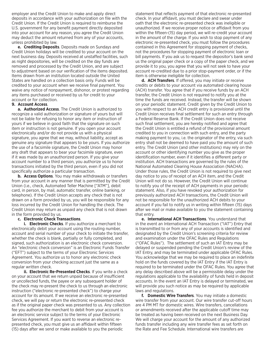employer and the Credit Union to make and apply direct deposits in accordance with your authorization on file with the Credit Union. If the Credit Union is required to reimburse the U.S. government for any benefit payment directly deposited into your account for any reason, you agree the Credit Union may deduct the amount returned from any of your accounts, unless prohibited by law.

**e. Crediting Deposits**. Deposits made on Sundays and Credit Union holidays will be credited to your account on the next business day. Deposits received at unstaffed facilities, such as night depositories, will be credited on the day funds are removed and processed by the Credit Union, and are subject to adjustment based on our verification of the items deposited. Items drawn from an institution located outside the United States are handled on a collection basis only. Funds will be credited to your account when we receive final payment. You waive any notice of nonpayment, dishonor, or protest regarding any items purchased or received by us for credit to your account or for collection.

#### **9. Account Access**.

**a. Authorized Access**. The Credit Union is authorized to recognize a valid authorization or signature of yours but will not be liable for refusing to honor any item or instruction of yours if we believe in good faith that the signature on such item or instruction is not genuine. If you open your account electronically and/or do not provide us with a physical signature, you agree that we may, without liability, accept as genuine any signature that appears to be yours. If you authorize the use of a facsimile signature, the Credit Union may honor any draft that appears to bear your facsimile signature, even if it was made by an unauthorized person. If you give your account number to a third person, you authorize us to honor transactions initiated by the third person, even if you did not specifically authorize a particular transaction.

**b. Access Options**. You may make withdrawals or transfers from your account in any manner that is permitted by the Credit Union (i.e., check, Automated Teller Machine ["ATM"], debit card, in person, by mail, automatic transfer, online banking, or telephone). If the Credit Union accepts any check that is not drawn on a form provided by us, you will be responsible for any loss incurred by the Credit Union for handling the check. The Credit Union may return as unpaid any check that is not drawn in the form provided by us.

#### **c. Electronic Check Transactions**.

**i. Electronic Checks**. If you authorize a merchant to electronically debit your account using the routing number, account and serial number of your check to initiate the transfer, whether the check is blank, partially or fully completed, and signed, such authorization is an electronic check conversion. An "electronic check conversion" is an Electronic Funds Transfer ("EFT") subject to the terms of your Electronic Services Agreement. You authorize us to honor any electronic check conversion from your checking account just the same as a regular written check.

 **ii. Electronic Re-Presented Checks**. If you write a check on your account that we return unpaid because of insufficient or uncollected funds, the payee or any subsequent holder of the check may re-present the check to us through an electronic instruction ("electronic re-presented check") to charge your account for its amount. If we receive an electronic re-presented check, we will pay or return the electronic re-presented check as if the original paper check was presented to us. Any collection fee you authorize the merchant to debit from your account is an electronic service subject to the terms of your Electronic Services Agreement. If you want to reverse an electronic represented check, you must give us an affidavit within fifteen (15) days after we send or make available to you the periodic

statement that reflects payment of that electronic re-presented check. In your affidavit, you must declare and swear under oath that the electronic re-presented check was ineligible or unauthorized. If we receive proper notice or affidavit from you within the fifteen-(15) day period, we will re-credit your account in the amount of the charge. If you wish to stop payment of any electronic re-presented check, you must follow the procedures contained in this Agreement for stopping payment of checks, not the procedures for stopping payment of electronic loan or bill payments. If you ask us to request the depositor's bank send us the original paper check or a copy of the paper check, and we provide it to you, you agree that you will not seek to have your account re-credited due to a prior stop-payment order, or if the item is otherwise ineligible for collection.

**d. ACH Transfers**. If offered, you may initiate or receive credits or debits to your account via automated clearing house (ACH) transfer. You agree that if you receive funds by an ACH transfer, the Credit Union is not required to notify you at the time the funds are received. Instead, the transfer will be shown on your periodic statement. Credit given by the Credit Union to you with respect to an ACH credit entry is provisional until the Credit Union receives final settlement for such an entry through a Federal Reserve Bank. If the Credit Union does not receive such final settlement, you are hereby notified and agree that the Credit Union is entitled a refund of the provisional amount credited to you in connection with such entry, and the party making payment to you, i.e. the originator of the entry, via such entry shall not be deemed to have paid you the amount of such entry. The Credit Union (and other institutions) may rely on the account or other identifying number you give as the proper identification number, even if it identifies a different party or institution. ACH transactions are governed by the rules of the National Automated Clearing House Association (NACHA). Under those rules, the Credit Union is not required to give next day notice to you of receipt of an ACH item, and the Credit Union will not do so. However, the Credit Union will continue to notify you of the receipt of ACH payments in your periodic statement. Also, if you have revoked your authorization for previously authorized ACH transactions, the Credit Union will not be responsible for the unauthorized ACH debits to your account if you fail to notify us in writing within fifteen (15) days after we mail or make available to you the statement containing that entry.

**e. International ACH Transactions**. You understand that in the event an International ACH Transaction ("IAT") Entry that is transmitted to or from any of your accounts is identified and designated by the Credit Union's screening criteria for review and examination under the OFAC Rules and Regulations ("OFAC Rules"). The settlement of such an IAT Entry may be delayed or suspended pending the Credit Union's review of the IAT Entry, and may be terminated under applicable OFAC Rules. You acknowledge that we may be required to place an indefinite hold on the funds covered by the IAT Entry if the IAT Entry is required to be terminated under the OFAC Rules. You agree that any delay described above will be a permissible delay under the regulations applicable to the availability of funds held in deposit accounts. In the event an IAT Entry is delayed or terminated, we will provide you such notice as may be required by applicable laws and regulations.

**f. Domestic Wire Transfers**. You may initiate a domestic wire transfer from your account. Our wire transfer cut-off hours are 4 PM MT for domestic wires. Wire transfers, cancellations or amendments received after the applicable cutoff time may be treated as having been received on the next Business Day. We will charge your account for the amount of any authorized funds transfer including any wire transfer fees as set forth on the Rate and Fee Schedule. International wire transfers are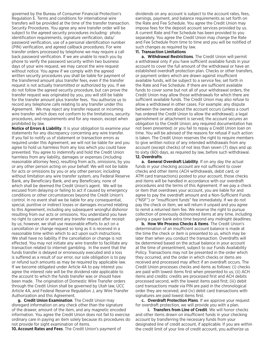governed by the Bureau of Consumer Financial Protection's Regulation E. Terms and conditions for international wire transfers will be provided at the time of the transfer transaction. Security Procedures. You agree any wire transfer order will be subject to the agreed security procedures including: photo identification requirements, signature verification, data/ password verification, use of a personal identification number (PIN) verification, and agreed callback procedures. For wire transfer orders processed by telephone we may require a call back password verification. If we are unable to reach you by phone to verify the password security within two business days of your wire request, we may cancel the wire request without notice. You agree if we comply with the agreed written security procedures you shall be liable for payment of the transferred amount plus transfer fees, even if the transfer request is not actually transmitted or authorized by you. If we do not follow the agreed security procedure, but can prove the transfer request was originated by you, you will still be liable for the transfer amount plus transfer fees. You authorize us to record any telephone calls relating to any transfer under this Agreement. We may reject any transfer request or incoming wire transfer which does not conform to the limitations, security procedures, and requirements and for any reason, except when prohibited by law.

**Notice of Errors & Liability**. It is your obligation to examine your statements for any discrepancy concerning any wire transfer. If you fail to notify us of statement or transaction errors as required under this Agreement, we will not be liable for and you agree to hold us harmless from any loss which you could have prevented. You agree to indemnify and hold the Credit Union harmless from any liability, damages or expenses (including reasonable attorney fees), resulting from acts, omissions, by you or any other person acting on your behalf. We will not be liable for acts or omissions by you or any other person; including without limitation any wire transfer system, any Federal Reserve Bank, any Beneficiary Bank, and any Beneficiary, none of which shall be deemed the Credit Union's agent. We will be excused from delaying or failing to act if caused by emergency conditions or other circumstances beyond the Credit Union's control. In no event shall we be liable for any consequential, special, punitive or indirect losses or damages incurred relating to this Agreement, including any subsequent wrongful dishonor resulting from our acts or omissions. You understand you have no right to cancel or amend any transfer request after receipt by us; however, we shall use reasonable efforts to act on a cancellation or change request so long as it is received in a reasonable time within which to act upon such instructions. We shall have no liability if the cancellation or change is not effected. You may not initiate any wire transfer to facilitate any transaction related to internet gambling. In the event that the funds transfer is delayed or erroneously executed and a loss is suffered as a result of our error, our sole obligation is to pay or refund such amounts as may be required by applicable law. If we become obligated under Article 4A to pay interest you agree the interest rate will be the dividend rate applicable to the account to which the funds transfer was or should have been made. The origination of Domestic Wire Transfer orders through the Credit Union shall be governed by Utah law, UCC Article 4A, and Federal Reserve Regulation J, any Wire Transfer Authorization and this Agreement.

**g. Credit Union Examination**. The Credit Union may disregard information on any check other than the signature of the drawer, amount of the item, and any magnetic encoded information. You agree the Credit Union does not fail to exercise ordinary care in paying an item solely because its procedures do not provide for sight examination of items.

**10.Account Rates and Fees**. The Credit Union's payment of

dividends on any account is subject to the account rates, fees, earnings, payment, and balance requirements as set forth on the Rate and Fee Schedule. You agree the Credit Union may impose fees for the deposit account services provided by us. A current Rate and Fee Schedule has been provided to you separately. You agree the Credit Union may change the Rate and Fee Schedule from time to time and you will be notified of such changes as required by law.

#### **11. Transaction Limitations**

**a. Withdrawal Restrictions**. The Credit Union will permit a withdrawal only if you have sufficient available funds in your account to cover the full amount of the withdrawal or have an established overdraft protection plan. Checks or other transfers, or payment orders which are drawn against insufficient available funds, will be subject to a service fee, set forth in the Rate and Fee Schedule. If there are sufficient available funds to cover some but not all of your withdrawal orders, the Credit Union may allow those withdrawals for which there are sufficient available funds. The Credit Union may also refuse to allow a withdrawal in other cases. For example: any dispute between the owners about the account occurs (unless a court has ordered the Credit Union to allow the withdrawal); a legal garnishment or attachment is served; the account secures an obligation to the Credit Union; any required documentation has not been presented; or you fail to repay a Credit Union loan on time. You will be advised of the reasons for refusal if such action is taken. The Credit Union reserves the right to require members to give written notice of any intended withdrawals from any account (except checks) of not less than seven (7) days and up to sixty (60) days, as required by law, before such withdrawal. **12. Overdrafts**.

**a. General Overdraft Liability**. If on any day the actual funds in your checking account are not sufficient to cover checks and other items (ACH withdrawals, debit card, or ATM card transactions) posted to your account, those checks and items will be handled in accordance with our overdraft procedures and the terms of this Agreement. If we pay a check or item that overdraws your account, you are liable for and agree to pay the overdraft amount and a Non-Sufficient Funds ("NSF") or "insufficient funds" fee immediately. If we do not pay the check or item, we will return it unpaid and you agree to remit a returned item fee. We reserve the right to pursue collection of previously dishonored items at any time, including giving a payer bank extra time beyond any midnight deadlines.

**b. How We Process Checks & Items**. The Credit Union's determination of an insufficient account balance is made at the time the check or item is presented to us, which may be later than when you conduct the transaction. Overdrafts will be determined based on the actual balance in your account at the time of presentment, subject to our Funds Availability Policy. Transactions may not be presented in the order which they occurred, and the order in which checks or items are received and processed may affect if an overdraft occurs. The Credit Union processes checks and items as follows: (i) checks are paid with lowest items first when presented to us; (ii) ACH items and credits: credits are processed first and ACH debits processed second, with the lowest items paid first; (iii) debit card transactions made via PIN are paid in the chronological order they are received; and (iv) debit card transactions with signatures are paid lowest items first.

**c. Overdraft Protection Plans**. If we approve your request for overdraft protection, we will provide you with a plan.

 **i. Transfers from Line of Credit**. We will honor checks and other items drawn on insufficient funds in your checking account by transferring the necessary funds from your designated line of credit account, if applicable. If you are within the credit limit of your line of credit account, you authorize us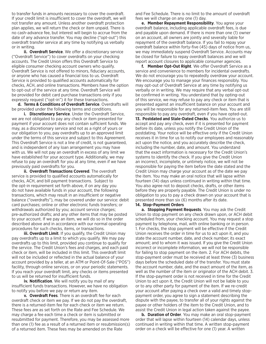to transfer funds in amounts necessary to cover the overdraft. If your credit limit is insufficient to cover the overdraft, we will not transfer any amount. Unless another overdraft protection plan applies, we will return the check or item unpaid. There is no cash-advance fee, but interest will begin to accrue from the date of any advance transfer. You may decline ("opt-out") this overdraft transfer service at any time by notifying us verbally or in writing.

 **ii. Overdraft Service**. We offer a discretionary service ("Overdraft Service") to cover overdrafts on your checking accounts. The Credit Union offers this Overdraft Service to eligible consumer checking account owners who qualify. Overdraft Service is not offered to minors, fiduciary accounts, or anyone who has caused a financial loss to us. Overdraft Service is provided to qualified accounts automatically for checks, ACH, and online transactions. Members have the option to opt-out of the service at any time. Overdraft Service will be provided for debit card purchase transactions only if you expressly request ("opt-in") it for these transactions.

**d. Terms & Conditions of Overdraft Service**. Overdrafts will be provided under the following terms and conditions.

 **i. Discretionary Service**. Under the Overdraft Service, we are not obligated to pay any check or item presented for payment if your account does not contain sufficient funds. We may, as a discretionary service and not as a right of yours or our obligation to you, pay overdrafts up to an approved limit under the terms of this service and subject to this Agreement. This Overdraft Service is not a line of credit, is not guaranteed, and is independent of any loan arrangement you may have with us. We will not pay an overdraft in excess of any limit we have established for your account type. Additionally, we may refuse to pay an overdraft for you at any time, even if we have previously paid overdrafts for you.

 **ii. Overdraft Transactions Covered**. The overdraft service is provided to qualified accounts automatically for checks, ACH, and bill payment transactions. Subject to the opt-in requirement set forth above, if on any day you do not have available funds in your account, the following transactions, which may result in an insufficient or negative balance ("overdrafts"), may be covered under our service: debit card purchases; online or other electronic funds transfers; or withdrawals authorized by you; account service charges; pre-authorized drafts; and any other items that may be posted to your account. If we pay an item, we will do so in the order described above and in accordance with our normal operating procedures for such checks, items, or transactions.

**iii. Overdraft Limit**. If you qualify, the Credit Union may pay overdrafts up to a limit to which you qualify. We may pay overdrafts up to this limit, provided you continue to qualify for the service. The Credit Union's fees and charges, and each paid check or item, will be included in this limit. This overdraft limit will not be included or reflected in the actual balance of your account provided by a teller, at an ATM or Point-Of-Sale ("POS") facility, through online services, or on your periodic statements. If you reach your overdraft limit, any checks or items presented to us will be returned for insufficient funds.

 **iv. Notification**. We will notify you by mail of any insufficient funds transactions. However, we have no obligation to notify you before we pay or return any item.

 **v. Overdraft Fees**. There is an overdraft fee for each overdraft check or item we pay. If we do not pay the overdraft, there is a returned-item fee for each check or item we return. These fees are as set forth on the Rate and Fee Schedule. We may charge a fee each time a check or item is submitted or resubmitted for payment. Therefore, you may be assessed more than one (1) fee as a result of a returned item or resubmission(s) of a returned item. These fees may be amended on the Rate

and Fee Schedule. There is no limit to the amount of overdraft fees we will charge on any one (1) day.

**e. Member Repayment Responsibility**. You agree your overdraft balance, including applicable overdraft fees, is due and payable upon demand. If there is more than one (1) owner on an account, all owners are jointly and severally liable for repayment of the overdraft balance. If you fail to repay your overdraft balance within forty-five (45) days of notice from us, we may immediately suspend Overdraft Service. Accounts may be closed for failure to repay overdraft balances and we will report account closures to applicable consumer agencies.

**f. Member Opt-Out Right**. We offer Overdraft Service as a service and convenience to members for incidental overdrafts. We do not encourage you to repeatedly overdraw your account. We encourage you to manage your finances responsibly. You may opt-out of Overdraft Service at any time by notifying us verbally or in writing. We may require that any verbal opt-out be confirmed in writing. You understand that by opting-out of this service, we may refuse to pay any check or item that is presented against an insufficient balance on your account and you will be responsible for any returned-item fees. You are still responsible to pay any overdraft, even if you have opted-out. **13. Postdated and Stale-Dated Checks**. You authorize us to accept and pay any check, even if it is presented for payment before its date, unless you notify the Credit Union of the

postdating. Your notice will be effective only if the Credit Union receives it in time for us to notify our employees and reasonably act upon the notice, and you accurately describe the check, including the number, date, and amount. You understand that the exact information is necessary for the Credit Union's systems to identify the check. If you give the Credit Union an incorrect, incomplete, or untimely notice, we will not be responsible for paying the item before the date stated and the Credit Union may charge your account as of the date we pay the item. You may make an oral notice that will lapse within fourteen (14) days unless continued in writing within that time. You also agree not to deposit checks, drafts, or other items before they are properly payable. The Credit Union is under no obligation to you to pay a check drawn on your account that is presented more than six (6) months after its date.

#### **14. Stop-Payment Orders**

**a. Stopping Payment Requests**. You may ask the Credit Union to stop payment on any check drawn upon, or ACH debit scheduled from, your checking account. You may request a stop payment by telephone, mail, with online banking or in person. 1. For checks, the stop payment will be effective if the Credit Union receives the order in time for us to act upon it, and you state the account number, date, and check number; its exact amount; and to whom it was issued. If you give the Credit Union incorrect or incomplete information, we will not be responsible for failing to stop payment on the item. 2. For ACH debits, the stop-payment order must be received at least three (3) business days before the scheduled date of the transfer. You must state the account number, date, and the exact amount of the item, as well as the number of the item or originator of the ACH debit. 3. If the stop-payment order is not received in time for the Credit Union to act upon it, the Credit Union will not be liable to you or to any other party for payment of the item. If we re-credit your account after paying a check over a valid and timely stoppayment order, you agree to sign a statement describing the dispute with the payee, to transfer all of your rights against the payee or other holders of the item to the Credit Union, and to assist the Credit Union in legal action taken against the payee.

**b. Duration of Order**. You may make an oral stop-payment order that will lapse within fourteen (14) calendar days, unless continued in writing within that time. A written stop-payment order on a check will be effective for one (1) year. A written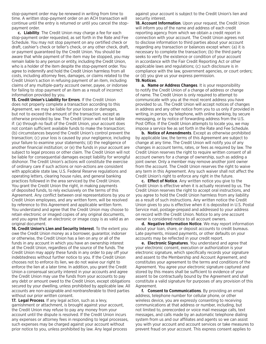stop-payment order may be renewed in writing from time to time. A written stop-payment order on an ACH transaction will continue until the entry is returned or until you cancel the stoppayment order.

**c. Liability**. The Credit Union may charge a fee for each stop-payment order requested, as set forth in the Rate and Fee Schedule. You may not stop payment on any certified check or draft, cashier's check or teller's check, or any other check, draft, or payment guaranteed by the Credit Union. You should be aware that while payment of the item may be stopped, you may remain liable to any person or entity, including the Credit Union, who is a holder of the item despite the stop-payment order. You agree to indemnify and hold the Credit Union harmless from all costs, including attorney fees, damages, or claims related to the Credit Union's action in refusing payment of an item, including claims of any multiple-party account owner, payee, or indorsee for failing to stop payment of an item as a result of incorrect information provided by you.

**15. Credit Union's Liability for Errors**. If the Credit Union does not properly complete a transaction according to this Agreement, we may be liable for your losses or damages, but not to exceed the amount of the transaction, except as otherwise provided by law. The Credit Union will not be liable if: (a) through no fault of the Credit Union, your account does not contain sufficient available funds to make the transaction; (b) circumstances beyond the Credit Union's control prevent the transaction; (c) your loss is caused by your negligence, including your failure to examine your statements; (d) the negligence of another financial institution; or (e) the funds in your account are subject to legal process or other claim. The Credit Union will not be liable for consequential damages except liability for wrongful dishonor. The Credit Union's actions will constitute the exercise of ordinary care if such actions or non-actions are consistent with applicable state law, U.S. Federal Reserve regulations and operating letters, clearing house rules, and general banking practices followed in the area serviced by the Credit Union. You grant the Credit Union the right, in making payments of deposited funds, to rely exclusively on the terms of this Agreement. Any conflict between oral representations by you or Credit Union employees, and any written form, will be resolved by reference to this Agreement and applicable written form. You understand and agree that the Credit Union may choose to retain electronic or imaged copies of any original documents, and you agree that an electronic or image copy is as valid as an original document.

**16. Credit Union's Lien and Security Interest**. To the extent you owe the Credit Union money as a borrower, guarantor, indorser or otherwise, the Credit Union has a lien on any or all of the funds in any account in which you have an ownership interest at the Credit Union, regardless of the source of the funds. The Credit Union may apply these funds in any order to pay off your indebtedness without further notice to you. If the Credit Union chooses not to enforce its lien, we do not waive our right to enforce the lien at a later time. In addition, you grant the Credit Union a consensual security interest in your accounts and agree the Credit Union may use the funds from your accounts to pay any debt or amount owed to the Credit Union, except obligations secured by your dwelling, unless prohibited by applicable law. All accounts are non-assignable and nontransferable to third parties without our prior written consent.

**17. Legal Process**. If any legal action, such as a levy, garnishment or attachment, is brought against your account, the Credit Union may refuse to pay any money from your account until the dispute is resolved. If the Credit Union incurs any expenses or attorney fees in responding to legal processes, such expenses may be charged against your account without prior notice to you, unless prohibited by law. Any legal process

against your account is subject to the Credit Union's lien and security interest.

**18. Account Information**. Upon your request, the Credit Union will inform you of the name and address of each credit reporting agency from which we obtain a credit report in connection with your account. The Credit Union agrees not to disclose information to third parties about your account regarding any transaction or balances except when: (a) it is necessary to complete the transaction; (b) the third party seeks to verify the existence or condition of your account in accordance with the Fair Credit Reporting Act or other applicable laws and regulations; (c) such disclosure is in compliance with the law, government agencies, or court orders; or (d) you give us your express permission. **19. Notices**.

**a. Name or Address Changes**. It is your responsibility to notify the Credit Union of a change of address or change of name. The Credit Union is only required to attempt to communicate with you at the most recent address you have provided to us. The Credit Union will accept notices of changes in address and any other notice from you to us only if provided in writing, in person, by telephone, with online banking, by secure messaging, or by notice of forwarding address from the U.S. Post Office. If the Credit Union attempts to locate you, we may impose a service fee as set forth in the Rate and Fee Schedule.

**b. Notice of Amendments**. Except as otherwise prohibited by applicable law, the terms of this Agreement are subject to change at any time. The Credit Union will notify you of any changes in account terms, rates, or fees as required by law. The Credit Union reserves the right to require written consent of all account owners for a change of ownership, such as adding a joint owner. Only a member may remove another joint owner from the account. The Credit Union reserves the right to waive any term in this Agreement. Any such waiver shall not affect the Credit Union's right to enforce any right in the future.

**c. Effect of Notice**. Any written notice you give to the Credit Union is effective when it is actually received by us. The Credit Union reserves the right to accept oral instructions, and you agree to hold the Credit Union harmless from any liability as a result of such instructions. Any written notice the Credit Union gives to you is effective when it is deposited in U.S. Postal Service mail, postage-prepaid and addressed to your address on record with the Credit Union. Notice to any one account owner is considered notice to all account owners.

**d. Negative Information Notice**. We may report information about your loan, share, or deposit accounts to credit bureaus. Late payments, missed payments, or other defaults on your accounts may be reflected in your credit report.

**e. Electronic Signatures**. You understand and agree that your electronic consent, execution or authorization is your electronic signature, which specifically records your signature and assent to the Membership and Account Agreement, and constitutes your agreement to the terms and conditions of the Agreement. You agree your electronic signature captured and stored by this means shall be sufficient to evidence of your assent to be contractually bound by the Agreement and shall constitute a valid signature for purposes of any provision of this Agreement.

**f. Consent to Communications**. By providing an email address, telephone number for cellular phone, or other wireless device, you are expressly consenting to receiving communications at that address or number, including, but not limited to, prerecorded or voice mail message calls, text messages, and calls made by an automatic telephone dialing system from us and our affiliates and agents so we can assist you with your account and account services or take measures to prevent fraud on your account. This express consent applies to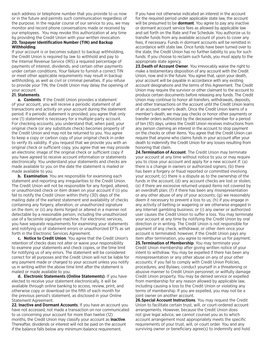each address or telephone number that you provide to us now or in the future and permits such communication regardless of the purpose. In the regular course of our service to you, we may monitor and record phone conversations made or received by our employees. You may revoke this authorization at any time by providing the Credit Union with your written revocation.

#### **20. Taxpayer Identification Number (TIN) and Backup Withholding**.

If your account is or becomes subject to backup withholding, the Credit Union is required by law to withhold and pay to the Internal Revenue Service (IRS) a required percentage of payments of interest, dividends, and certain other payments under certain conditions. Your failure to furnish a correct TIN or meet other applicable requirements may result in backup withholding, as well as civil or criminal penalties. If you refuse to provide your TIN, the Credit Union may delay the opening of your account.

#### **21. Statements**.

**a. Contents**. If the Credit Union provides a statement of your account, you will receive a periodic statement of all transactions and activity on your account during the statement period. If a periodic statement is provided, you agree that only one (1) statement is necessary for a multiple-party account. For checking accounts, you understand that, when paid, your original check (or any substitute check) becomes property of the Credit Union and may not be returned to you. You agree to keep a copy or carbon copy of your original check in order to verify its validity. If you request that we provide you with an original check or sufficient copy, you agree that we may provide an electronic image of the original check or sufficient copy if you have agreed to receive account information or statements electronically. You understand your statements and checks are made available to you on the date the statement is mailed or made available to you.

**b. Examination**. You are responsible for examining each statement and reporting any irregularities to the Credit Union. The Credit Union will not be responsible for any forged, altered, or unauthorized check or item drawn on your account if (i) you fail to notify the Credit Union within thirty (30) days of the mailing date of the earliest statement and availability of checks containing any forgery, alteration, or unauthorized signature on the item; or (ii) any items forged or altered in a manner not detectable by a reasonable person, including the unauthorized use of a facsimile signature machine. For electronic services, you have separate requirements for examining your statements and notifying us of statement errors or unauthorized EFTs as set forth in the Electronic Services Agreement.

**c. Notice to Credit Union**. You agree that the Credit Union's retention of checks does not alter or waive your responsibility to examine your statements and check copies, or the time limit for notifying us of any errors. The statement will be considered correct for all purposes and the Credit Union will not be liable for any payment made or charged to your account unless you notify us in writing within the above time limit after the statement is mailed or made available to you.

**d. Electronic Statements (Online Statements)**. If you have elected to receive your statement electronically, it will be available through online banking to access, review, print, and otherwise copy or download on the fifth of each month for the previous period's statement, as disclosed in your Online Statement Agreement.

**22. Inactive and Dormant Accounts**. If you have an account you have not accessed, not made a transaction on nor communicated to us concerning your account for more than twelve (12) months, the Credit Union may classify your account as **inactive**. Thereafter, dividends or interest will not be paid on the account if the balance falls below any minimum-balance requirement.

If you have not otherwise indicated an interest in the account for the required period under applicable state law, the account will be presumed to be **dormant**. You agree to pay any inactive or dormant account service fees as allowed by applicable law and set forth on the Rate and Fee Schedule. You authorize us to transfer funds from any available account of yours to cover any fees, if necessary. Funds in dormant accounts will be remitted in accordance with state law. Once funds have been turned over to the state, the Credit Union has no further liability to you for such funds. If you choose to reclaim such funds, you must apply to the appropriate state agency.

**23.Death of Account Owner**. You irrevocably waive the right to make a testamentary disposition of any account with the Credit Union, now and in the future. You agree that, upon your death, your account will be payable in accordance with any existing account designations and the terms of this Agreement. The Credit Union may require the survivor or other claimant to the account to produce certain documents before releasing any funds. The Credit Union may continue to honor all transfers, withdrawals, deposits, and other transactions on the account until the Credit Union learns of an account owner's death. Once the Credit Union learns of a member's death, we may pay checks or honor other payments or transfer orders authorized by the deceased member for a period of ten (10) days, unless the Credit Union receives instructions from any person claiming an interest in the account to stop payment on the checks or other items. You agree that the Credit Union can require that anyone who claims funds in your account after your death to indemnify the Credit Union for any losses resulting from honoring that claim.

**24.Termination of Account**. The Credit Union may terminate your account at any time without notice to you or may require you to close your account and apply for a new account if: (a) there is a change in owners or authorized signers; (b) there has been a forgery or fraud reported or committed involving your account; (c) there is a dispute as to the ownership of the funds in the account; (d) any account checks are lost or stolen; (e) if there are excessive returned unpaid items not covered by an overdraft plan; (f) if there has been any misrepresentation or any other abuse of any of your accounts; (g) we reasonably deem it necessary to prevent a loss to us; (h) if you engage in any activity of betting or wagering or are otherwise engaged in any Internet gambling business; or (i) any owner or authorized user causes the Credit Union to suffer a loss. You may terminate your account at any time by notifying the Credit Union by oral direction or in writing. The Credit Union is not responsible for payment of any check, withdrawal, or other item once your account is terminated; however, if the Credit Union pays any item after termination, you agree to reimburse us for payment. **25.Termination of Membership**. You may terminate your Credit Union membership after giving written notice of your intent to withdraw. You may be expelled if there has been any misrepresentation or any other abuse on any of your other accounts; if you fail to comply with Credit Union Policies, procedures, and Bylaws; conduct yourself in a threatening or abusive manner to Credit Union personnel; or willfully damage Credit Union property. You may be denied service or expelled from membership for any reason allowed by applicable law, including causing a loss to the Credit Union or violating any terms of membership. If you are expelled, you may not be a joint owner on another account.

**26.Special Account Instructions**. You may request the Credit Union to facilitate certain trust, will, or court-ordered account arrangements. However, because the Credit Union does not give legal advice, we cannot counsel you as to which account arrangement most appropriately meets the specific requirements of your trust, will, or court order. You and any surviving owner or beneficiary agree(s) to indemnify and hold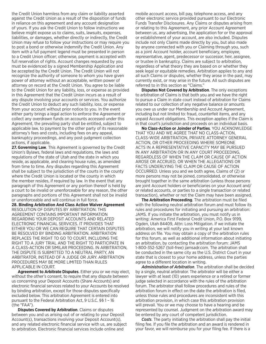the Credit Union harmless from any claim or liability asserted against the Credit Union as a result of the disposition of funds in reliance on this agreement and any account designation of yours. If you ask the Credit Union to follow instructions we believe might expose us to claims, suits, lawsuits, expenses, liabilities, or damages, whether directly or indirectly, the Credit Union may refuse to follow your instructions or may require you to post a bond or otherwise indemnify the Credit Union. Any item with a full payment legend must be presented in person to a Credit Union officer; otherwise, payment is accepted with full reservation of rights. Account changes requested by you must be evidenced by a signed Membership Application and be accepted by the Credit Union. The Credit Union will not recognize the authority of someone to whom you have given power of attorney without an acceptable, written power of attorney on record at the Credit Union. You agree to be liable to the Credit Union for any liability, loss, or expense as provided in this Agreement that the Credit Union incurs as a result of any dispute involving your accounts or services. You authorize the Credit Union to deduct any such liability, loss, or expense from your account without prior notice to you. In the event either party brings a legal action to enforce the Agreement or collect any overdrawn funds on accounts accessed under this Agreement, the prevailing party shall be entitled, subject to applicable law, to payment by the other party of its reasonable attorney's fees and costs, including fees on any appeal, bankruptcy proceedings, and any post-judgment collection actions, if applicable.

**27.Governing Law**. This Agreement is governed by the Credit Union's Bylaws, federal laws and regulations, the laws and regulations of the state of Utah and the state in which you reside, as applicable, and clearing house rules, as amended from time to time. Any disputes regarding this Agreement shall be subject to the jurisdiction of the courts in the county where the Credit Union is located or the county in which the member resides, if required by law. In the event that any paragraph of this Agreement or any portion thereof is held by a court to be invalid or unenforceable for any reason, the other paragraphs and portions of this Agreement shall not be invalid or unenforceable and will continue in full force.

**28. Binding Arbitration And Class Action Waiver Agreement** RESOLUTION OF DISPUTES BY ARBITRATION: THIS AGREEMENT CONTAINS IMPORTANT INFORMATION REGARDING YOUR DEPOSIT ACCOUNTS AND RELATED ELECTRONIC FINANCIAL SERVICES. IT PROVIDES THAT EITHER YOU OR WE CAN REQUIRE THAT CERTAIN DISPUTES BE RESOLVED BY BINDING ARBITRATION. ARBITRATION REPLACES THE RIGHT TO GO TO COURT, INCLUDING THE RIGHT TO A JURY TRIAL AND THE RIGHT TO PARTICIPATE IN A CLASS-ACTION OR SIMILAR PROCEEDING. IN ARBITRATION, THE DISPUTE IS SUBMITTED TO A NEUTRAL PARTY, AN ARBITRATOR, INSTEAD OF A JUDGE OR JURY. ARBITRATION PROCEDURES MAY BE MORE LIMITED THAN RULES APPLICABLE IN COURT.

**Agreement to Arbitrate Disputes**. Either you or we may elect, without the other's consent, to require that any dispute between us concerning your Deposit Accounts (Share Accounts) and electronic financial services related to your Accounts be resolved by binding arbitration, except for those disputes specifically excluded below. This arbitration Agreement is entered into pursuant to the Federal Arbitration Act, 9 U.S.C. §§ 1 – 16 (the "FAA").

**Disputes Covered by Arbitration**. Claims or disputes between you and us arising out of or relating to your Deposit Account(s), transactions involving your Deposit Account(s), and any related electronic financial service with us, are subject to arbitration. Electronic financial services include online and

mobile account access, bill pay, telephone access, and any other electronic service provided pursuant to our Electronic Funds Transfer Disclosures. Any Claims or disputes arising from or relating to this Agreement, any prior Account Agreement between us, any advertising, the application for or the approval or establishment of your account, are also included. Disputes include not only Claims made directly by you, but also made by anyone connected with you or Claiming through you, such as a joint Account holder, account beneficiary, employee, representative, agent, predecessor or successor, heir, assignee, or trustee in bankruptcy. Claims are subject to arbitration, regardless of what theory they are based on or whether they seek legal or equitable remedies. Arbitration applies to any and all such Claims or disputes, whether they arose in the past, may currently exist, or may arise in the future. All such disputes are referred to in this section as "Claims."

**Disputes Not Covered by Arbitration**. The only exceptions to arbitration of Claims is that both you and we have the right to pursue a Claim in state court instead of arbitration for Claims related to our collection of any negative balance or amounts you owe us under our Membership and Account Agreement, including but not limited to: fraud, counterfeit items, and any unpaid Account obligations. This exception applies if the Claim is in that court's jurisdiction and proceeds on an individual basis.

**No Class-Action or Joinder of Parties**. YOU ACKNOWLEDGE THAT YOU AND WE AGREE THAT NO CLASS-ACTION, CLASS-WIDE ARBITRATION, PRIVATE ATTORNEY GENERAL ACTION, OR OTHER PROCEEDING WHERE SOMEONE ACTS IN A REPRESENTATIVE CAPACITY MAY BE PURSUED IN ANY ARBITRATION OR IN ANY COURT PROCEEDING, REGARDLESS OF WHEN THE CLAIM OR CAUSE OF ACTION AROSE OR ACCRUED, OR WHEN THE ALLEGATIONS OR FACTS UNDERLYING THE CLAIM OR CAUSE OF ACTION OCCURRED. Unless you and we both agree, Claims of (2) or more persons may not be joined, consolidated, or otherwise brought together in the same arbitration (unless those persons are joint Account holders or beneficiaries on your Account and/ or related accounts, or parties to a single transaction or related transaction), whether or not the Claim may have been assigned.

**The Arbitration Proceeding**. The arbitration must be filed with the following neutral arbitration forum and must follow its rules and procedures for initiating and pursuing an arbitration: JAMS. If you initiate the arbitration, you must notify us in writing: America First Federal Credit Union, P.O. Box 9199, Ogden, Utah 84409, Attn: Loss Mitigation. If we initiate the arbitration, we will notify you in writing at your last known address on file. You may obtain a copy of the arbitration rules for this forum, as well as additional information about initiating an arbitration, by contacting the arbitration forum: JAMS 1-800-352-5267 (toll-free) jamsadr.com. The arbitration shall be conducted in the same city as the U.S. District Court in your state that is closest to your home address, unless the parties agree to a different location in writing.

*Administration of Arbitration*. The arbitration shall be decided by a single, neutral arbitrator. The arbitrator will be either a lawyer with at least (10) years experience or a retired or former judge selected in accordance with the rules of the arbitration forum. The arbitrator shall follow procedures and rules of the arbitration forum in effect on the date the arbitration is filed, unless those rules and procedures are inconsistent with this arbitration provision, in which case this arbitration provision will prevail. You or we may choose to have a hearing and be represented by counsel. Judgment on the arbitration award may be entered by any court of competent jurisdiction.

*Costs*. The party initiating the arbitration shall pay the initial filing fee. If you file the arbitration and an award is rendered in your favor, we will reimburse you for your filing fee. If there is a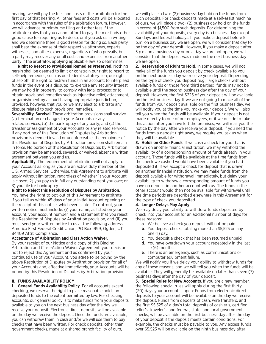hearing, we will pay the fees and costs of the arbitration for the first day of that hearing. All other fees and costs will be allocated in accordance with the rules of the arbitration forum. However, we will advance or reimburse filing and other fees if the arbitrator rules that you cannot afford to pay them or finds other good cause for requiring us to do so, or if you ask us in writing and we determine there is good reason for doing so. Each party shall bear the expense of their respective attorneys, experts, witnesses, and other expenses, regardless of who prevails, but a party may recover any or all costs and expenses from another party if the arbitrator, applying applicable law, so determines.

**Right to Resort to Provisional Remedies Preserved**. Nothing herein shall be deemed to limit or constrain our right to resort to self-help remedies, such as our federal statutory lien; our right of set-off; the right to restrain funds in an account; to interplead funds in the event of a dispute; to exercise any security interest we may hold in property; to comply with legal process; or to obtain provisional remedies such as injunctive relief, attachment, or garnishment by a court having appropriate jurisdiction, provided, however, that you or we may elect to arbitrate any dispute related to such provisional remedies.

**Severability, Survival**. These arbitration provisions shall survive (a) termination or changes to your Accounts or any related services; (b) the bankruptcy of any party; and (c) the transfer or assignment of your Accounts or any related services. If any portion of this Resolution of Disputes by Arbitration provision is deemed invalid or unenforceable, the remainder of this Resolution of Disputes by Arbitration provision shall remain in force. No portion of this Resolution of Disputes by Arbitration provision may be amended, severed, or waived, absent a written agreement between you and us.

**Applicability**. The requirement of arbitration will not apply to your Account as long as you are an active duty member of the U.S. Armed Services. Otherwise, this Agreement to arbitrate will apply without limitation, regardless of whether 1) your Account is closed; 2) you pay us in full any outstanding debt you owe; or 3) you file for bankruptcy.

#### **Right to Reject this Resolution of Disputes by Arbitration**.

You have the right to opt-out of this Agreement to arbitrate if you tell us within 45 days of your initial Account opening or the receipt of this notice, whichever is later. To opt-out, your written notice must include: (i) your name, as listed on your account, your account number, and a statement that you reject the Resolution of Disputes by Arbitration provision, and (ii) you must send your written notice to us at the following address: America First Federal Credit Union, PO Box 9199, Ogden, UT 84409 Attn: Compliance.

#### **Acceptance of Arbitration and Class Action Waiver**.

By your receipt of our Notice and a copy of this Binding Arbitration and Class-Action Waiver Agreement, your decision not to reject this Agreement and as confirmed by your continued use of your Account, you agree to be bound by the above Resolution of Disputes by Arbitration provision for all of your Accounts and, effective immediately, your Accounts will be bound by this Resolution of Disputes by Arbitration provision.

#### **II. FUNDS AVAILABILITY POLICY**

**1. General Funds Availability Policy**. For all accounts except checking, we reserve the right to place reasonable holds on deposited funds to the extent permitted by law. For checking accounts, our general policy is to make funds from your deposits available to you on the next business day after the day we receive your deposit. Electronic direct deposits will be available on the day we receive the deposit. Once the funds are available, you can withdraw them in cash and/or we will use them to pay checks that have been written. For check deposits, other than government checks, made at a shared branch facility of ours,

we will place a two- (2)-business-day hold on the funds from such deposits. For check deposits made at a self-assist machine of ours, we will place a two- (2) business day hold on the funds in excess of \$1,500 from such deposits. For determining the availability of your deposits, every day is a business day except Sundays and federal holidays. If you make a deposit before 5 p.m. on a business day we are open, we will consider that day to be the day of your deposit. However, if you make a deposit after 5 p.m. on a business day or on a day we are not open, we will consider that the deposit was made on the next business day we are open.

**2. Reservation of Right to Hold**. In some cases, we will not make all of the funds you deposit by check available to you on the next business day we receive your deposit. Depending on the type of check you deposit (e.g., large checks without available funds or those from third parties), funds may not be available until the second business day after the day of your deposit. However, the first \$225 of your deposit will be available on the first business day. If we are not going to make all of the funds from your deposit available on the first business day, we will notify you at the time you make your deposit. We will also tell you when the funds will be available. If your deposit is not made directly to one of our employees, or if we decide to take this action after you have left the premises, we will mail you the notice by the day after we receive your deposit. If you need the funds from a deposit right away, we require you ask us when they will be available.

**3. Holds on Other Funds**. If we cash a check for you that is drawn on another financial institution, we may withhold the availability of a corresponding amount of funds already in your account. Those funds will be available at the time funds from the check we cashed would have been available if you had deposited it. If we accept a check for deposit that is drawn on another financial institution, we may make funds from the deposit available for withdrawal immediately, but delay your availability to withdraw a corresponding amount of funds you have on deposit in another account with us. The funds in the other account would then not be available for withdrawal until the time periods are described elsewhere in this Agreement for the type of check you deposited.

#### **4. Longer Delays May Apply**.

We may delay your ability to withdraw funds deposited by check into your account for an additional number of days for these reasons:

- **a**. We believe a check you deposit will not be paid.
- **b**. You deposit checks totaling more than \$5,525 on any one (1) day.
- **c**. You deposit a check that has been returned unpaid.
- **d**. You have overdrawn your account repeatedly in the last six(6) months.
- **e**. There is an emergency, such as communications or computer equipment failure.

We will notify you if we delay your ability to withdraw funds for any of these reasons, and we will tell you when the funds will be available. They will generally be available no later than seven (7) business days after the day of your deposit.

**5. Special Rules for New Accounts**. If you are a new member, the following special rules will apply during the first thirty (30) days your account is open: Funds from electronic direct deposits to your account will be available on the day we receive the deposit. Funds from deposits of cash, wire transfers, and the first \$5,525 of a day's total deposits of cashier's, certified, teller's, traveler's, and federal, state, and local government checks, will be available on the first business day after the day of your deposit if the deposit meets certain conditions. For example, the checks must be payable to you. Any excess funds over \$5,525 will be available on the ninth business day after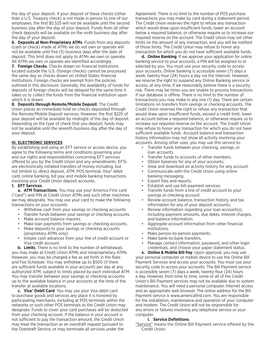the day of your deposit. If your deposit of these checks (other than a U.S. Treasury check) is not made in person to one of our employees, the first \$5,525 will not be available until the second business day after the day of your deposit. Funds from all other check deposits will be available on the ninth business day after the day of your deposit.

**6. Deposits at Non-Proprietary ATMs**. Funds from any deposits (cash or check) made at ATMs we do not own or operate will not be available until five (5) business days after the date of deposit. This limit does not apply to ATMs we own or operate. All ATMs we own or operate are identified accordingly.

**7. Foreign Checks**. Checks drawn on financial institutions located outside the U.S. (foreign checks) cannot be processed the same day as checks drawn on United States financial institutions. Foreign checks are exempt from the policies outlined in this disclosure. Generally, the availability of funds for deposits of foreign checks will be delayed for the same time it takes us to collect the funds from the financial institution upon which it is drawn.

**8. Deposits through Remote/Mobile Deposit**. The Credit Union places an immediate hold on checks deposited through the Remote/Mobile Deposit services. However, the first \$225 of your deposit will be available by midnight of the day of deposit. Depending on the type of check that you deposit, funds may not be available until the seventh business day after the day of your deposit.

#### **III. ELECTRONIC SERVICES**

By establishing and using an EFT service or access device, you agree to the following terms and conditions governing your and our rights and responsibilities concerning EFT services offered to you by the Credit Union and any amendments. EFTs are electronically initiated transfers of money including, but not limited to, direct deposit, ATM, POS terminal, Visa® debit card, online banking, bill pay, and mobile banking transactions involving your Credit Union deposit accounts.

#### **1. EFT Services**.

**a. ATM Transactions**. You may use your America First card ("card") and PIN at Credit Union ATMs and such other machines we may designate. You may use your card to make the following transactions on your accounts:

- Withdraw cash from your savings or checking accounts.
- Transfer funds between your savings or checking accounts.
- Make account balance inquires.
- Make loan payments from savings or checking accounts.
- Make deposits to your savings or checking accounts (proprietary ATMs only).
- Initiate cash advances from your line of credit account or Visa credit account.

**b. Limits**. There is no limit to the number of withdrawals you may make at Credit Union ATMs and nonproprietary ATMs. However, you may be charged a fee as set forth in the Rate and Fee Schedule. You may withdraw up to \$500 (if there are sufficient funds available in your account) per day at any authorized ATM, subject to limits placed by each individual ATM. You may transfer between your savings or checking accounts up to the available balance in your accounts at the time of the transfer at available locations.

**c. Visa® Debit Card**. You may use your Visa debit card to purchase goods and services any place it is honored by participating merchants, including at POS terminals within the networks or such other POS terminals as the Credit Union may designate. Funds to cover your card purchases will be deducted from your checking account. If the balance in your account is not sufficient to pay the transaction amount, the Credit Union may treat the transaction as an overdraft request pursuant to the Overdraft Service, or may terminate all services under the

Agreement. There is no limit to the number of POS purchase transactions you may make by card during a statement period. The Credit Union reserves the right to refuse any transaction which would draw upon insufficient funds, lower an account below a required balance, or otherwise require us to increase our required reserve on the account. The Credit Union may set other limits on the amount of any transaction, and you will be notified of those limits. The Credit Union may refuse to honor any transaction for which you do not have sufficient available funds.

**d. Online Banking**. If we approve your application for online banking service to your accounts, a PIN will be assigned to or selected by you. You must use your security code to access your accounts. Online banking is accessible seven (7) days a week, twenty-four (24) hours a day via the Internet. However, we reserve the right to suspend any Online Banking service or access, at any time, if we reasonably believe there is a security risk. There may be times you are unable to process transactions if our database is offline. There is no limit to the number of transactions you may make in any one (1) day. There are certain limitations on transfers from savings or checking accounts. The Credit Union reserves the right to refuse any transaction that would draw upon insufficient funds, exceed a credit limit, lower an account below a required balance, or otherwise require us to increase our required reserve on the account. The Credit Union may refuse to honor any transaction for which you do not have sufficient available funds. Account balance and transaction history information may not show all activity involving your accounts. Among other uses, you may use this service to:

- Transfer funds between your checking, savings, or loan accounts.
- Transfer funds to accounts of other members.
- Obtain balances for any of your accounts.
- View and download an activity history for any account.
- Communicate with the Credit Union using online banking messaging.
- Export files and reports.
- Establish and use bill-payment services.
- Transfer funds from a line of credit account to your savings or checking account.
- Review account balance, transaction history, and tax information for any of your deposit accounts.
- Review information regarding your loan account(s), including payment amounts, due dates, interest charges, and balance information.
- Aggregate account information from other financial institutions.
- Make person-to-person payments.
- Make bank-to-bank transfers.
- Manage contact information, password, and other login credentials, and choose your paper statement status.

**e. Online & Mobile Bill Pay**. Upon approval, you may use your personal computer or mobile device to use the Online Bill Payment Services and access your accounts. You must use your security code to access your accounts. The Bill Payment service is accessible seven (7) days a week, twenty-four (24) hours a day. However, from time to time, some or all of the Credit Union's Bill Payment services may not be available due to system maintenance. You will need a personal computer, Internet access and an appropriate web browser. The online address for the Bill Payment service is www.americafirst.com. You are responsible for the installation, maintenance and operation of your computer and modem. The Credit Union will not be responsible for any errors or failures involving any telephone service or your computer.

#### **i. Service Definitions**.

"Service" means the Online Bill Payment service offered by the Credit Union.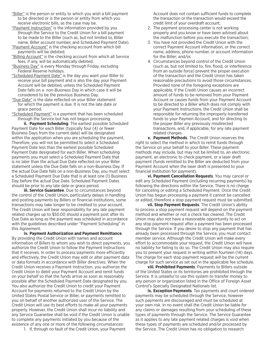- "Biller" is the person or entity to which you wish a bill payment to be directed or is the person or entity from which you receive electronic bills, as the case may be.
- "Payment Instruction" is the information provided by you through the Service to the Credit Union for a bill payment to be made to the Biller (such as, but not limited to, Biller name, Biller account number, and Scheduled Payment Date).
- "Payment Account" is the checking account from which bill payments will be debited.
- "Billing Account" is the checking account from which all Service fees, if any, will be automatically debited.
- "Business Day" is every Monday through Friday, excluding Federal Reserve holidays.
- "Scheduled Payment Date" is the day you want your Biller to receive your bill payment and is also the day your Payment Account will be debited, unless the Scheduled Payment Date falls on a non-Business Day in which case it will be considered to be the previous Business Day.
- "Due Date" is the date reflected on your Biller statement for which the payment is due. It is not the late date or grace period.
- "Scheduled Payment" is a payment that has been scheduled through the Service but has not begun processing.

 **ii. Payment Scheduling**. The earliest possible Scheduled Payment Date for each Biller (typically four (4) or fewer Business Days from the current date) will be designated within the application when you are scheduling the payment. Therefore, you will not be permitted to select a Scheduled Payment Date less than the earliest possible Scheduled Payment Date designated for each Biller. When scheduling payments you must select a Scheduled Payment Date that is no later than the actual Due Date reflected on your Biller statement unless the Due Date falls on a non-Business Day. If the actual Due Date falls on a non-Business Day, you must select a Scheduled Payment Due Date that is at least one (1) Business Day before the actual Due Date. Scheduled Payment Dates should be prior to any late date or grace period.

 **iii. Service Guarantee**. Due to circumstances beyond the control of the Credit Union, particularly delays in handling and posting payments by Billers or financial institutions, some transactions may take longer to be credited to your account. The Credit Union will bear responsibility for any late payment related charges up to \$50.00 should a payment post after its Due Date as long as the payment was scheduled in accordance with the guidelines described under "Payment Scheduling" in this Agreement.

 **iv. Payment Authorization and Payment Remittance**. By providing the Credit Union with names and account information of Billers to whom you wish to direct payments, you authorize the Credit Union to follow the Payment Instructions that it receives. In order to process payments more efficiently and effectively, the Credit Union may edit or alter payment data or data formats in accordance with Biller directives. When the Credit Union receives a Payment Instruction, you authorize the Credit Union to debit your Payment Account and remit funds on your behalf so that the funds arrive as soon as reasonably possible after the Scheduled Payment Date designated by you. You also authorize the Credit Union to credit your Payment Account for payments returned to the Credit Union by the United States Postal Service or Biller, or payments remitted to you on behalf of another authorized user of the Service. The Credit Union will use its best efforts to make all your payments properly. However, the Credit Union shall incur no liability and any Service Guarantee shall be void if the Credit Union is unable to complete any payments initiated by you because of the existence of any one or more of the following circumstances:

1. If, through no fault of the Credit Union, your Payment

 Account does not contain sufficient funds to complete the transaction or the transaction would exceed the credit limit of your overdraft account;

- 2. The payment processing center is not working properly and you know or have been advised about the malfunction before you execute the transaction;
- 3. You have not provided the Credit Union with the correct Payment Account information, or the correct name, address, phone number, or account information for the Biller; and/or,
- 4. Circumstances beyond control of the Credit Union (such as, but not limited to, fire, flood, or interference from an outside force) prevent the proper execution of the transaction and the Credit Union has taken reasonable precautions to avoid those circumstances. Provided none of the foregoing exceptions are applicable, if the Credit Union causes an incorrect amount of funds to be removed from your Payment Account or causes funds from your Payment Account to be directed to a Biller which does not comply with your Payment Instructions, the Credit Union shall be responsible for returning the improperly transferred funds to your Paymen Account, and for directing to the proper Biller any previously misdirected transactions, and, if applicable, for any late payment related charges.

 **v. Payment Methods**. The Credit Union reserves the right to select the method in which to remit funds through the Service on your behalf to your Biller. These payment methods may include, but may not be limited to, an electronic payment, an electronic to check payment, or a laser draft payment (funds remitted to the Biller are deducted from your Payment Account when the laser draft is presented to your financial institution for payment).

 **vi. Payment Cancellation Requests**. You may cancel or edit any Scheduled Payment (including recurring payments) by following the directions within the Service. There is no charge for canceling or editing a Scheduled Payment. Once the Credit Union has begun processing a payment it cannot be cancelled or edited, therefore a stop payment request must be submitted.

 **vii. Stop Payment Requests**. The Credit Union's ability to process a stop payment request will depend on the payment method and whether or not a check has cleared. The Credit Union may also not have a reasonable opportunity to act on any stop payment request after a payment has been processed through the Service. If you desire to stop any payment that has already been processed through the Service, you must contact member service. Although the Credit Union will make every effort to accommodate your request, the Credit Union will have no liability for failing to do so. The Credit Union may also require you to present your request in writing within fourteen (14) days. The charge for each stop payment request will be the current charge for such service as set out in the applicable fee schedule.

 **viii. Prohibited Payments**. Payments to Billers outside of the United States or its territories are prohibited through the Service. It is unlawful to use this system to transfer money to any person or organization listed in the Office of Foreign Asset Control's Specially Designated Nationals list.

 **ix. Exception Payments**. Tax payments and court ordered payments may be scheduled through the Service, however such payments are discouraged and must be scheduled at your own risk. In no event shall the Credit Union be liable for any claims or damages resulting from your scheduling of these types of payments through the Service. The Service Guarantee as it applies to any late payment related charges is void when these types of payments are scheduled and/or processed by the Service. The Credit Union has no obligation to research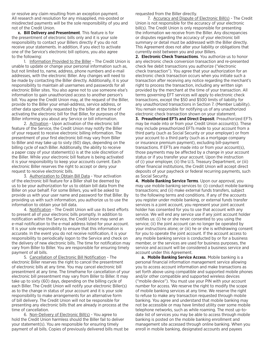or resolve any claim resulting from an exception payment. All research and resolution for any misapplied, mis-posted or misdirected payments will be the sole responsibility of you and not of the Credit Union.

**x. Bill Delivery and Presentment**. This feature is for the presentment of electronic bills only and it is your sole responsibility to contact your Billers directly if you do not receive your statements. In addition, if you elect to activate one of the Service's electronic bill options, you also agree to the following:

1. Information Provided to the Biller - The Credit Union is unable to update or change your personal information such as, but not limited to, name, address, phone numbers and e-mail addresses, with the electronic Biller. Any changes will need to be made by contacting the Biller directly. Additionally, it is your responsibility to maintain all usernames and passwords for all electronic Biller sites. You also agree not to use someone else's information to gain unauthorized access to another person's bill. You agree the Credit Union may, at the request of the Biller, provide to the Biller your email-address, service address, or other data specifically requested by the biller at the time of activating the electronic bill for that Biller, for purposes of the Biller informing you about any Service or bill information.

 2. Activation - Upon activation of the electronic bill feature of the Service, the Credit Union may notify the Biller of your request to receive electronic billing information. The presentment of your first electronic bill may vary from Biller to Biller and may take up to sixty (60) days, depending on the billing cycle of each Biller. Additionally, the ability to receive a paper copy of your statement(s) is at the sole discretion of the Biller. While your electronic bill feature is being activated it is your responsibility to keep your accounts current. Each electronic Biller reserves the right to accept or deny your request to receive electronic bills.

3. Authorization to Obtain Bill Data - Your activation of the electronic bill feature for a Biller shall be deemed by us to be your authorization for us to obtain bill data from the Biller on your behalf. For some Billers, you will be asked to provide us with your user name and password for that Biller. By providing us with such information, you authorize us to use the information to obtain your bill data.

 4. Notification - The Credit Union will use its best efforts to present all of your electronic bills promptly. In addition to notification within the Service, the Credit Union may send an e-mail notification to the e-mail address listed for your account. It is your sole responsibility to ensure that this information is accurate. In the event you do not receive notification, it is your responsibility to periodically logon to the Service and check on the delivery of new electronic bills. The time for notification may vary from Biller to Biller. You are responsible for ensuring timely payment of all bills.

 5. Cancellation of Electronic Bill Notification - The electronic Biller reserves the right to cancel the presentment of electronic bills at any time. You may cancel electronic bill presentment at any time. The timeframe for cancellation of your electronic bill presentment may vary from Biller to Biller. It may take up to sixty (60) days, depending on the billing cycle of each Biller. The Credit Union will notify your electronic Biller(s) as to the change in status of your account and it is your sole responsibility to make arrangements for an alternative form of bill delivery. The Credit Union will not be responsible for presenting any electronic bills that are already in process at the time of cancellation.

 6. Non-Delivery of Electronic Bill(s) - You agree to hold the Credit Union harmless should the Biller fail to deliver your statement(s). You are responsible for ensuring timely payment of all bills. Copies of previously delivered bills must be requested from the Biller directly.

 7. Accuracy and Dispute of Electronic Bill(s) - The Credit Union is not responsible for the accuracy of your electronic bill(s). The Credit Union is only responsible for presenting the information we receive from the Biller. Any discrepancies or disputes regarding the accuracy of your electronic bill summary or detail must be addressed with the Biller directly. This Agreement does not alter your liability or obligations that currently exist between you and your Billers.

**2. Electronic Check Transactions**. You authorize us to honor any electronic check conversion transaction and re-presented check fee debit transactions you authorize ("electronic check transaction"). You agree that your authorization for an electronic check transaction occurs when you initiate such a transaction after receiving any notice regarding the merchant's right to process the transaction, including any written sign provided by the merchant at the time of your transaction. All terms governing EFT services will apply to electronic check transactions, except the \$50 and \$500 limits of liability for any unauthorized transactions in Section 7. (Member Liability). You remain responsible for notifying us of any unauthorized electronic check transaction shown on your statement.

**3. Preauthorized EFTs and Direct Deposit**. Preauthorized EFTs may be made into or from your Credit Union account(s). These may include preauthorized EFTs made to your account from a third party (such as Social Security or your employer) or from your account to a third party (such as a mortgage company or insurance premium payment), excluding bill-payment transactions. If EFTs are made into or from your account(s), those payments may be affected by a change in your account status or if you transfer your account. Upon the instruction of (i) your employer, (ii) the U.S. Treasury Department, or (iii) other financial institutions, the Credit Union will accept direct deposits of your paycheck or federal recurring payments, such as Social Security.

**4. Mobile Banking Service Terms**. Upon our approval, you may use mobile banking services to: (i) conduct mobile banking transactions; and (ii) make external funds transfers, subject to the following terms and conditions. If any of the accounts you register under mobile banking, or external funds transfer services is a joint account, you represent your joint account holder has consented for you to use that account with any service. We will end any service use if any joint account holder notifies us: (i) he or she never consented to you using the service; (ii) the joint account can no longer be operated by your instructions alone; or (iii) he or she is withdrawing consent for you to operate the joint account. If the account access to any mobile banking service is conducted by or for a business member, or the services are used for business purposes, the service and account will be considered a business service and account under this Agreement.

**a. Mobile Banking Service Access**. Mobile banking is a personal financial information management service allowing you to access account information and make transactions as set forth above using compatible and supported mobile phones and/or other compatible and supported wireless devices ("mobile device"). You must use your PIN with your account number for access. We reserve the right to modify the scope of mobile banking services at any time. We reserve the right to refuse to make any transaction requested through mobile banking. You agree and understand that mobile banking may not be accessible or may have limited utility over some mobile telephone networks, such as while roaming. The most up-todate list of services you may be able to access through mobile banking is posted on the mobile banking enrollment and management site accessed through online banking. When you enroll in mobile banking, designated accounts and payees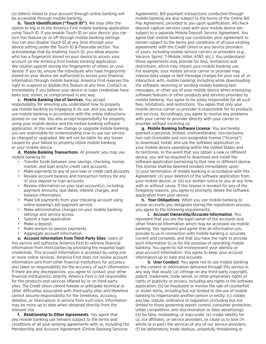(or billers) linked to your account through online banking will be accessible through mobile banking.

**b. Touch Identification ("Touch ID")**. We may offer the option to log in to the America First mobile banking application using Touch ID. If you enable Touch ID on your device, you can turn this feature on or off through mobile banking settings. You can also disable Touch ID at any time through your device setting under the Touch ID & Passcode section. You acknowledge that by enabling Touch ID, you allow anyone who has a fingerprint stored on your device to access your account on the America First mobile banking application. We caution against storing the fingerprints of others on your device. If you do, ensure the individuals who have fingerprints stored on your device are authorized to access your financial information through mobile banking. America First reserves the right to suspend or disable this feature at any time. Contact us immediately if you believe your device or login credentials have been lost, stolen, or compromised in any way.

**c. Mobile Banking Use of Services**. You accept responsibility for ensuring you understand how to properly use mobile banking by engaging in its use, and you agree to use mobile banking in accordance with the online instructions posted on our site. You also accept responsibility for properly using your mobile device and the mobile banking software application. In the event we change or upgrade mobile banking, you are responsible for understanding how to use our service as changed or upgraded. We will not be liable for any losses caused by your failure to properly utilize mobile banking or your mobile device.

**d. Mobile Banking Transactions**. At present, you may use mobile banking to:

- Transfer funds between your savings, checking, money market, and loan and/or credit card accounts.
- Make payments to any of your loan or credit card accounts.
- Review account balance and transaction history for any of your deposit or loan accounts.
- Review information on your loan account(s), including payment amounts, due dates, interest charges, and balance information.
- Make bill payments from your checking account using online banking's bill-payment service.
- Make administrative changes on your mobile banking settings and service access.
- Submit a loan application.
- Make a deposit.
- Make person-to-person payments.
- Aggregate account information.

**e. Account Information from Third-Party Sites**. Users of this service will authorize America First to retrieve financial information from third parties by providing the required login credentials. This account information is accessed by using one or more online services. America First does not review account information sent from other financial institutions for accuracy and takes no responsibility for the accuracy of such information. If there are any discrepancies, you agree to contact your other financial institution(s) directly. America First is not responsible for the products and services offered by or on third-party sites. The Credit Union cannot foresee or anticipate technical or other difficulties associated with third-party sites and therefore cannot assume responsibility for the timeliness, accuracy, deletion, or interruption in service from such sites. Information may be more up to date when obtained directly from the relevant site.

**f. Relationship to Other Agreements**. You agree that any mobile banking use remains subject to the terms and conditions of all your existing agreements with us, including the Membership and Account Agreement (Online Banking Services

Agreement). Bill-payment transactions conducted through mobile banking are also subject to the terms of the Online Bill Pay Agreement, provided to you upon qualification. All check deposit capture services used with your mobile device are subject to a separate Mobile Deposit Service Agreement. You agree that mobile banking use constitutes your agreement to remain subject to the terms and conditions of all your existing agreements with the Credit Union or any service providers of yours, including mobile service carriers or providers (e.g., Verizon, Sprint, T-Mobile, Alltel, AT&T, etc.). You understand those agreements may provide for fees, limitations and restrictions, which may impact your mobile banking use. For example, your mobile service carrier or provider may impose data usage or text message charges for your use of, or interaction with, mobile banking, including while downloading the software, receiving or sending mobile banking text messages, or other use of your mobile device when employing software features or other products and services provided by mobile banking. You agree to be solely responsible for all such fees, limitations, and restrictions. You agree that only your mobile service carrier or provider is responsible for its products and services. Accordingly, you agree to resolve any problems with your carrier or provider directly with your carrier or provider without involving us.

**g. Mobile Banking Software License**. You are hereby granted a personal, limited, nontransferable, non-exclusive, non-sub-licensable and non-assignable license ("license") to download, install, and use the software application on your mobile device operating within the United States and its territories. In the event that you obtain a new or different device, you will be required to download and install the software application pertaining to that new or different device. This license shall be deemed revoked immediately upon: (i) your termination of mobile banking in accordance with this Agreement; (ii) your deletion of the software application from your mobile device; or (iii) our written notice to you at any time with or without cause. If this license is revoked for any of the foregoing reasons, you agree to promptly delete the software application from your device.

**h. Your Obligations**. When you use mobile banking to access accounts you designate during the registration process, you agree to the following requirements:

 **i. Account Ownership/Accurate Information**. You represent that you are the legal owner of the accounts and other financial information which may be accessed via mobile banking. You represent and agree that all information you provide to us in connection with mobile banking is accurate, current and complete, and that you have the right to provide such information to us for the purpose of operating mobile banking. You agree to not misrepresent your identity or your account information. You agree to keep your account information up to date and accurate.

**ii. User Conduct**. You agree not to use mobile banking or the content or information delivered through this service in any way that would: (a) infringe on any third-party copyright, patent, trademark, trade secret, or other proprietary rights or rights of publicity or privacy, including any rights in the software application; (b) be fraudulent or involve the sale of counterfeit or stolen items, including but not limited to the use of mobile banking to impersonate another person or entity; (c) violate any law, statute, ordinance or regulation (including but not limited to those governing export control, consumer protection, unfair competition, anti-discrimination or false advertising); (d) be false, misleading, or inaccurate; (e) create liability for us, our affiliates, or service providers, or cause us to lose (in whole or in part) the services of any of our service providers; (f) be defamatory, trade libelous, unlawfully threatening or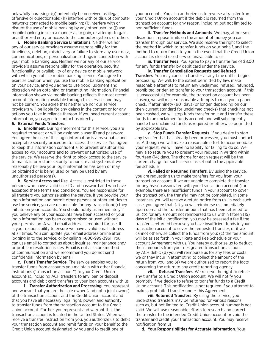unlawfully harassing; (g) potentially be perceived as illegal, offensive or objectionable; (h) interfere with or disrupt computer networks connected to mobile banking; (i) interfere with or disrupt the use of mobile banking by any other user; or (j) use mobile banking in such a manner as to gain, or attempt to gain, unauthorized entry or access to the computer systems of others.

**i. Mobile Banking Service Limitations**. Neither we nor any of our service providers assume responsibility for the timeliness, deletion, misdelivery or failure to store any user data, communications, or personalization settings in connection with your mobile banking use. Neither we nor any of our service providers assume responsibility for the operation, security, functionality, or availability of any device or mobile network with which you utilize mobile banking service. You agree to exercise caution when you use the mobile banking application on your device, and you agree to use good judgment and discretion when obtaining or transmitting information. Financial information shown via mobile banking reflects the most recent account information available through this service, and may not be current. You agree that neither we nor our service providers will be liable for any delays in the content or for any actions you take in reliance thereon. If you need current account information, you agree to contact us directly.

#### **5. External Funds Transfers**.

**a. Enrollment**. During enrollment for this service, you are required to select or will be assigned a user ID and password. You agree the use of this login information is a reasonable and acceptable security procedure to access the service. You agree to keep this information confidential to prevent unauthorized access to your accounts and to prevent unauthorized use of the service. We reserve the right to block access to the service to maintain or restore security to our site and systems if we reasonably believe your login information has been or may be obtained or is being used or may be used by any unauthorized person(s).

**b. Service Access and Use**. Access is restricted to those persons who have a valid user ID and password and who have accepted these terms and conditions. You are responsible for all transfers you authorize using the service. If you provide your login information and permit other persons or other entities to use the service, you are responsible for any transaction(s) they initiate on your accounts. You should notify us immediately if you believe any of your accounts have been accessed or your login information has been compromised or used without your permission. A valid email address is required for use. It is your responsibility to ensure we have a valid email address at all times. You can update your email address online after logging in to the service, or by calling 1-800-999-3961. You can use email to contact us about inquiries, maintenance and/ or problem resolution issues. Email is not a secure method of communication and we recommend you do not send confidential information by email.

**c. Funds Transfer Service**. The service enables you to transfer funds from accounts you maintain with other financial institutions ("transaction account") to your Credit Union account(s), including ACH transfers to any loan or deposit accounts and debit card transfers to your loan accounts with us.

 **i. Transfer Authorization and Processing**. You represent and warrant that you are the sole owner (and not a joint owner) of the transaction account and the Credit Union account and that you have all necessary legal right, power, and authority to transfer funds from the transaction account to the Credit Union account. Further, you represent and warrant that the transaction account is located in the United States. When we receive a transfer instruction from you, you authorize us to debit your transaction account and remit funds on your behalf to the Credit Union account designated by you and to credit one of

your accounts. You also authorize us to reverse a transfer from your Credit Union account if the debit is returned from the transaction account for any reason, including but not limited to non-sufficient funds.

 **ii. Transfer Methods and Amounts**. We may, at our sole discretion, impose limits on the amount of money you can transfer through our service. We also reserve the right to select the method in which to transfer funds on your behalf, and the method to return funds to you in the event that the Credit Union account is closed or otherwise unavailable to us.

 **iii. Transfer Fees**. You agree to pay a transfer fee of \$8.00 for any funds transfer by debit card under the service.

 **iv. Transfer Cancellation Requests and Refused Transfers**. You may cancel a transfer at any time until it begins processing. We will, to the extent permitted by law, make reasonable attempts to return any unclaimed, refused, refunded, prohibited, or denied transfer to your transaction account. If this is unsuccessful (for example, the transaction account has been closed), we will make reasonable attempts to mail you a paper check. If after ninety (90) days (or longer, depending on our then-current standard for unclaimed checks) that check has not been cashed, we will stop funds transfer on it and transfer these funds to an unclaimed funds account, and will subsequently handle the unclaimed funds as required or otherwise permitted by applicable law.

 **v. Stop Funds Transfer Requests**. If you desire to stop any transfer that has already been processed, you must contact us. Although we will make a reasonable effort to accommodate your request, we will have no liability for failing to do so. We may also require you to present your request in writing within fourteen (14) days. The charge for each request will be the current charge for such service as set out in the applicable fee schedule.

 **vi. Failed or Returned Transfers**. By using the service, you are requesting us to make transfers for you from your transaction account. If we are unable to complete the transfer for any reason associated with your transaction account (for example, there are insufficient funds in your account to cover the transaction), the transfer may not be completed. In some instances, you will receive a return notice from us. In each such case, you agree that: (a) you will reimburse us immediately upon demand the transfer amount that has been returned to us; (b) for any amount not reimbursed to us within fifteen (15) days of the initial notification, you may be assessed a fee if the transfer is returned because you have insufficient funds in your transaction account to cover the requested transfer, or if we cannot otherwise collect the funds from you; (c) the fee amount will be as set forth in your Rate and Fee Schedule or your account Agreement with us. You hereby authorize us to deduct these amounts from your designated transaction account by ACH debit; (d) you will reimburse us for any fees or costs we or they incur in attempting to collect the amount of the return from you; and (e) we are authorized to report the facts concerning the return to any credit reporting agency.

 **vii. Refused Transfers**. We reserve the right to refuse any transfer to a Credit Union account. We will notify you promptly if we decide to refuse to transfer funds to a Credit Union account. This notification is not required if you attempt to make a prohibited transfer under this Agreement.

 **viii. Returned Transfers**. By using the service, you understand transfers may be returned for various reasons such as, but not limited to, Credit Union account number is not valid. We will use reasonable efforts to research and correct the transfer to the intended Credit Union account or void the transfer and credit your transaction account. You may receive notification from us.

**d. Your Responsibilities for Accurate Information**. Your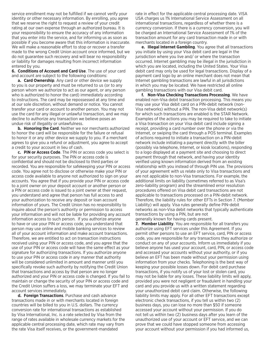service enrollment may not be fulfilled if we cannot verify your identity or other necessary information. By enrolling, you agree that we reserve the right to request a review of your credit rating at our own expense through an authorized bureau. It is your responsibility to ensure the accuracy of any information that you enter into the service, and for informing us as soon as possible if you become aware that this information is inaccurate. We will make a reasonable effort to stop or recover a transfer made to the wrong Credit Union account once informed, but we do not guarantee such recovery and will bear no responsibility or liability for damages resulting from incorrect information entered by you.

**6. Conditions of Account and Card Use**. The use of your card and account are subject to the following conditions:

**a. Card Ownership**. Any card or other device we supply to you is our property and must be returned to us (or to any person whom we authorize to act as our agent, or any person who is authorized to honor the card) immediately according to instructions. The card may be repossessed at any time and at our sole discretion, without demand or notice. You cannot transfer your card or account to another person. You may not use the card for any illegal or unlawful transaction, and we may decline to authorize any transaction we believe poses an undue risk of illegality or unlawfulness.

**b. Honoring the Card**. Neither we nor merchants authorized to honor the card will be responsible for the failure or refusal to honor it or any other device we supply to you. If a merchant agrees to give you a refund or adjustment, you agree to accept a credit to your account in lieu of cash.

**c. PIN or Access Code**. The PIN or access code you select is for your security purposes. The PIN or access code is confidential and should not be disclosed to third parties or recorded. You are responsible for safekeeping your PIN or access code. You agree not to disclose or otherwise make your PIN or access code available to anyone not authorized to sign on your accounts. You agree that if you provide your PIN or access code to a joint owner on your deposit account or another person or a PIN or access code is issued to a joint owner at their request, you understand and agree that person has full access to and your authorization to receive any deposit or loan account information of yours. The Credit Union has no responsibility to inquire about the person's authority or permission to access your information and will not be liable for providing any account information access to such person. If you authorize anyone to have or use your PIN or access code, you understand that person may use online and mobile banking services to review all of your account information and make account transactions. Therefore, we are entitled to act on transaction instructions received using your PIN or access code, and you agree that the use of your PIN or access code will have the same effect as your signature for authorizing transactions. If you authorize anyone to use your PIN or access code in any manner that authority will be considered unlimited in amount and manner until you specifically revoke such authority by notifying the Credit Union that transactions and access by that person are no longer authorized and your PIN or access code is changed. If you fail to maintain or change the security of your PIN or access code and the Credit Union suffers a loss, we may terminate your EFT and account services immediately.

**d. Foreign Transactions**. Purchase and cash advance transactions made in or with merchants located in foreign countries will be billed to you in U.S. dollars. The currency conversion rate for international transactions as established by Visa International, Inc. is a rate selected by Visa from the range of rates available in wholesale currency markets for the applicable central processing date, which rate may vary from the rate Visa itself receives, or the government-mandated

rate in effect for the applicable central processing date. VISA USA charges us 1% International Service Assessment on all international transactions, regardless of whether there is a currency conversion. If there is a currency conversion, you will be charged an International Service Assessment of 1% of the transaction amount for any card transaction made in or with merchants located in a foreign country.

**e. Illegal Internet Gambling**. You agree that all transactions you initiate by using your Visa debit card are legal in the jurisdiction where you live and/ or where the transaction occurred. Internet gambling may be illegal in the jurisdiction in which you are located, including the United States. Your Visa debit card may only be used for legal transactions. Display of a payment card logo by an online merchant does not mean that Internet gambling transactions are lawful in all jurisdictions in which you may be located. We have restricted all online gambling transactions with our Visa debit card.

**f. Non-Visa Checking Transactions Processing**. We have enabled non-Visa debit transaction processing. This means you may use your Visa debit card on a PIN-debit network (non-Visa networks) without a PIN. The non-Visa debit network(s) for which such transactions are enabled is the STAR Network. Examples of the actions you may be required to take to initiate a Visa transaction on your Visa debit card include signing a receipt, providing a card number over the phone or via the Internet, or swiping the card through a POS terminal. Examples of actions required to initiate a transaction on a PIN-debit network include initiating a payment directly with the biller (possibly via telephone, Internet, or kiosk locations), responding to a logo displayed at a payment site and choosing to direct payment through that network, and having your identity verified using known information derived from an existing relationship with you instead of through PIN use. The provisions of your agreement with us relate only to Visa transactions and are not applicable to non-Visa transactions. For example, the additional limits on liability (sometimes referred to as Visa's zero-liability program) and the streamlined error resolution procedures offered on Visa debit card transactions are not applicable to transactions processed on a PIN-debit network. Therefore, the liability rules for other EFTs in Section 7. (Member Liability) will apply. Visa rules generally define PIN-debit networks as non-Visa debit networks that typically authenticate transactions by using a PIN, but are not generally known for having cards present.

**7. Member Liability**. You are responsible for all transfers you authorize using EFT services under this Agreement. If you permit other persons to use an EFT service, card, PIN or access code, you are responsible for any transactions they authorize or conduct on any of your accounts. Inform us immediately if you believe anyone has used your account, card, PIN, or access code and accessed your accounts without your authority, or if you believe an EFT has been made without your permission using information from your checks. Telephoning is the best way of keeping your possible losses down. For debit card purchase transactions, if you notify us of your lost or stolen card, you may not be liable for any losses. These liability limits will apply, provided you were not negligent or fraudulent in handling your card and you provide us with a written statement regarding your unauthorized debit card claim. Otherwise, the following liability limits may apply. For all other EFT transactions except electronic check transactions, if you tell us within two (2) business days, you can lose no more than \$50 if someone accessed your account without your permission. If you do not tell us within two (2) business days after you learn of the unauthorized use of your account or EFT service, and we can prove that we could have stopped someone from accessing your account without your permission if you had informed us,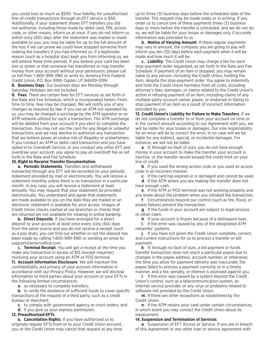you could lose as much as \$500. Your liability for unauthorized line-of-credit transactions through an EFT service is \$50. Additionally, if your statement shows EFT transfers you did not authorize, including those made by debit card, PIN, access code, or other means, inform us at once. If you do not inform us within sixty (60) days after the statement was mailed or made available to you, you may be liable for up to the full amount of the loss if we can prove we could have stopped someone from making the transfers if you had informed us. If a legitimate reason (such as a hospital stay) kept you from informing us, we will extend these time periods. If you believe your card has been lost or stolen or that someone has transferred or may transfer money from your account without your permission, please call us toll-free: 1-800-999-3961 or write to: America First Federal Credit Union, P.O. Box 9199, Ogden, UT 84409-0199.

**8. Business Days**. Our business days are Monday through Saturday. Holidays are not included.

**9. Fees**. There are certain fees for EFT services as set forth in the Rate and Fee Schedule, which is incorporated herein. From time to time, fees may be changed. We will notify you of any changes as required by law. If you use an ATM not operated by us, you may be charged a surcharge by the ATM operator or an ATM network utilized for such a transaction. The ATM surcharge will be debited from your account if you elect to complete the transaction. You may not use the card for any illegal or unlawful transactions and we may decline to authorize any transaction that we believe poses an undue risk of illegality or unlawfulness. If you conduct an ATM or debit card transaction and you have opted in to Overdraft Service, or you conduct any other EFT and overdraw your account, you agree to pay an overdraft fee as set forth in the Rate and Fee Schedule.

#### **10.Right to Receive Transfer Documentation**.

**a. Periodic Statements**. Transfers and withdrawals transacted through any EFT will be recorded on your periodic statement provided by mail or electronically. You will receive a statement monthly unless there is no transaction in a particular month. In any case, you will receive a statement at least annually. You may request that your statement be provided electronically. You understand and agree that statements are made available to you on the date they are mailed or an electronic statement is available for your access. Images of Credit Union checks cashed at our branches or checks that are returned are not available for viewing in online banking.

**b. Direct Deposits**. If you have arranged for a direct deposit to your account at least once every sixty (60) days from the same source and you do not receive a receipt (such as a pay stub), you can find out whether or not the deposit has been made by calling 1-800-999-3961 or sending an email to support@americafirst.com.

**c. Terminal Receipt**. You will get a receipt at the time you make any transaction in excess of \$15 (except inquiries) involving your account using an ATM or POS terminal. **11. Account Information Disclosure**. We will maintain the confidentiality and privacy of your account information in accordance with our Privacy Policy. However, we will disclose information to third parties about your account or your EFTs in

the following limited circumstances: **a**. as necessary to complete transfers;

**b**. to verify the existence of sufficient funds to cover specific transactions at the request of a third party, such as a credit bureau or merchant;

**c**. to comply with government agency or court orders; and

**d**. if you give us your express permission.

### **12. Preauthorized EFTs**.

**a. Cancellation Rights**. If you have authorized us to originate regular EFTs from or to your Credit Union account, you or the Credit Union may cancel that request at any time up to three (3) business days before the scheduled date of the transfer. This request may be made orally or in writing. If you order us to cancel one of these payments three (3) business days or more before the transfer is scheduled, and we do not do so, we will be liable for your losses or damages only if accurate information was provided to us.

**b. Notice of Varying Amount**. If these regular payments may vary in amount, the company you are going to pay will inform you ten (10) days before each payment when it will be made and how much it will be.

**c. Liability**. The Credit Union may charge a fee for each stop-payment order requested, as set forth in the Rate and Fee Schedule. If payment of an item is stopped, you may remain liable to any person, including the Credit Union, holding the item, despite the stop-payment order. You agree to indemnify and hold the Credit Union harmless from all costs, including attorney's fees, damages, or claims related to the Credit Union's action in refusing payment of an item, including claims of any multiple-party account owner, payee, or endorsee in failing to stop payment of an item as a result of incorrect information provided by you.

**13. Credit Union's Liability for Failure to Make Transfers**. If we do not complete a transfer to or from your account on time or in the correct amount according to our Agreement with you, we will be liable for your losses or damages. Our sole responsibility for an error will be to correct the error. In no case will we be liable for any indirect, special, or incidental damages. For instance, we will not be liable:

**a**. If, through no fault of ours, you do not have enough money in your account to make the transfer, your account is inactive, or the transfer would exceed the credit limit on your line of credit.

**b**. If you used the wrong access code or you used an access code in an incorrect manner.

**c**. If the card has expired or is damaged and cannot be used.

**d**. If the ATM where you are making the transfer does not have enough cash.

**e**. If the ATM or POS terminal was not working properly and you knew about the problem when you initiated the transaction.

**f**. Circumstances beyond our control (such as fire, flood, or power failure) prevent the transaction.

**g**. If the funds in your account are subject to legal process or other claim.

**h**. If your account is frozen because of a delinquent loan.

**i**. If the error was caused by any of the designated ATM networks' systems.

**j**. If you have not given the Credit Union complete, correct, and current instructions for us to process a transfer or bill payment.

**k**. If, through no fault of ours, a bill payment or funds transfer transaction does not reach a particular payee due to changes in the payee address, account number, or otherwise; the time you allow for payment delivery was inaccurate; the payee failed to process a payment correctly or in a timely manner; and a fee, penalty, or interest is assessed against you.

**l**. If the error was caused by a system beyond the Credit Union's control, such as a telecommunication system, an Internet service provider, or any virus or problems related to software not provided by the Credit Union.

**m**. If there are other exceptions as established by the Credit Union.

**n**. If the ATM retains your card under certain circumstances, in which event you may contact the Credit Union about its replacement.

#### **14. Suspension and Termination of Services**.

**a**. Suspension of EFT Access or Service. If you are in breach of this Agreement or any other loan or service agreement with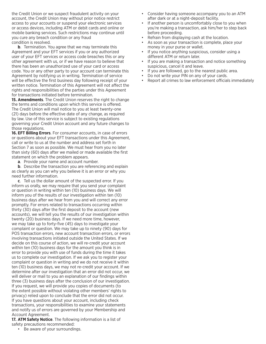the Credit Union or we suspect fraudulent activity on your account, the Credit Union may without prior notice restrict access to your accounts or suspend your electronic services or access devices, including ATM or debit cards and online or mobile banking services. Such restrictions may continue until you cure any breach condition or any fraud condition is resolved.

**b**. Termination. You agree that we may terminate this Agreement and your EFT services if you or any authorized user of your EFT services or access code breaches this or any other agreement with us, or if we have reason to believe that there has been an unauthorized use of your card or access code. You or any other party to your account can terminate this Agreement by notifying us in writing. Termination of service will be effective the first business day following receipt of your written notice. Termination of this Agreement will not affect the rights and responsibilities of the parties under this Agreement for transactions initiated before termination.

**15. Amendments**. The Credit Union reserves the right to change the terms and conditions upon which this service is offered. The Credit Union will mail notice to you at least twenty-one (21) days before the effective date of any change, as required by law. Use of this service is subject to existing regulations governing your Credit Union account and any future changes to those regulations.

**16. EFT Billing Errors**. For consumer accounts, in case of errors or questions about your EFT transactions under this Agreement, call or write to us at the number and address set forth in Section 7 as soon as possible. We must hear from you no later than sixty (60) days after we mailed or made available the first statement on which the problem appears.

**a**. Provide your name and account number.

**b**. Describe the transaction you are referencing and explain as clearly as you can why you believe it is an error or why you need further information.

**c**. Tell us the dollar amount of the suspected error. If you inform us orally, we may require that you send your complaint or question in writing within ten (10) business days. We will inform you of the results of our investigation within ten (10) business days after we hear from you and will correct any error promptly. For errors related to transactions occurring within thirty (30) days after the first deposit to the account (new accounts), we will tell you the results of our investigation within twenty (20) business days. If we need more time, however, we may take up to forty-five (45) days to investigate your complaint or question. We may take up to ninety (90) days for POS transaction errors, new account transaction errors, or errors involving transactions initiated outside the United States. If we decide on this course of action, we will re-credit your account within ten (10) business days for the amount you think is in error to provide you with use of funds during the time it takes us to complete our investigation. If we ask you to register your complaint or question in writing and we do not receive it within ten (10) business days, we may not re-credit your account. If we determine after our investigation that an error did not occur, we will deliver or mail to you an explanation of our findings within three (3) business days after the conclusion of our investigation. If you request, we will provide you copies of documents (to the extent possible without violating other members' rights to privacy) relied upon to conclude that the error did not occur. If you have questions about your account, including check transactions, your responsibilities to examine your statements and notify us of errors are governed by your Membership and Account Agreement.

**17. ATM Safety Notice**. The following information is a list of safety precautions recommended:

• Be aware of your surroundings.

- Consider having someone accompany you to an ATM after dark or at a night-deposit facility.
- If another person is uncomfortably close to you when you're making a transaction, ask him/her to step back before proceeding.
- Refrain from displaying cash at the location.
- As soon as your transaction is complete, place your money in your purse or wallet.
- If you notice anything suspicious, consider using a different ATM or return later.
- If you are making a transaction and notice something suspicious, cancel it and leave.
- If you are followed, go to the nearest public area.
- Do not write your PIN on any of your cards.
- Report all crimes to law enforcement officials immediately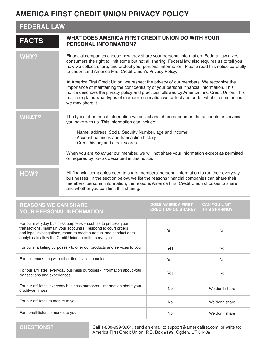## **AMERICA FIRST CREDIT UNION PRIVACY POLICY**

## **FEDERAL LAW**

| <b>FACTS</b> | WHAT DOES AMERICA FIRST CREDIT UNION DO WITH YOUR<br><b>PERSONAL INFORMATION?</b>                                                                                                                                                                                                                                                                                                                                                                                                                                                                                                                                                                                                                                                                                    |
|--------------|----------------------------------------------------------------------------------------------------------------------------------------------------------------------------------------------------------------------------------------------------------------------------------------------------------------------------------------------------------------------------------------------------------------------------------------------------------------------------------------------------------------------------------------------------------------------------------------------------------------------------------------------------------------------------------------------------------------------------------------------------------------------|
| <b>WHY?</b>  | Financial companies choose how they share your personal information. Federal law gives<br>consumers the right to limit some but not all sharing. Federal law also requires us to tell you<br>how we collect, share, and protect your personal information. Please read this notice carefully<br>to understand America First Credit Union's Privacy Policy.<br>At America First Credit Union, we respect the privacy of our members. We recognize the<br>importance of maintaining the confidentiality of your personal financial information. This<br>notice describes the privacy policy and practices followed by America First Credit Union. This<br>notice explains what types of member information we collect and under what circumstances<br>we may share it. |
| <b>WHAT?</b> | The types of personal information we collect and share depend on the accounts or services<br>you have with us. This information can include:<br>· Name, address, Social Security Number, age and income<br>• Account balances and transaction history<br>• Credit history and credit scores<br>When you are no longer our member, we will not share your information except as permitted<br>or required by law as described in this notice.                                                                                                                                                                                                                                                                                                                          |
| HOW?         | All financial companies need to share members' personal information to run their everyday<br>businesses. In the section below, we list the reasons financial companies can share their<br>members' personal information; the reasons America First Credit Union chooses to share;<br>and whether you can limit this sharing.                                                                                                                                                                                                                                                                                                                                                                                                                                         |

## **REASONS WE CAN SHARE YOUR PERSONAL INFORMATION**

**DOES AMERICA FIRST CREDIT UNION SHARE? CAN YOU LIMIT THIS SHARING?**

| For our everyday business purposes – such as to process your<br>transactions, maintain your account(s), respond to court orders<br>and legal investigations, report to credit bureaus, and conduct data<br>analytics to allow the Credit Union to better serve you | Yes | No.            |
|--------------------------------------------------------------------------------------------------------------------------------------------------------------------------------------------------------------------------------------------------------------------|-----|----------------|
| For our marketing purposes - to offer our products and services to you                                                                                                                                                                                             | Yes | <b>No</b>      |
| For joint marketing with other financial companies                                                                                                                                                                                                                 | Yes | No.            |
| For our affiliates' everyday business purposes - information about your<br>transactions and experiences                                                                                                                                                            | Yes | No.            |
| For our affiliates' everyday business purposes - information about your<br>creditworthiness                                                                                                                                                                        | No. | We don't share |
| For our affiliates to market to you                                                                                                                                                                                                                                | No. | We don't share |
| For nonaffiliates to market to you                                                                                                                                                                                                                                 | No. | We don't share |

Call 1-800-999-3961, send an email to support@americafirst.com, or write to: America First Credit Union, P.O. Box 9199, Ogden, UT 84409.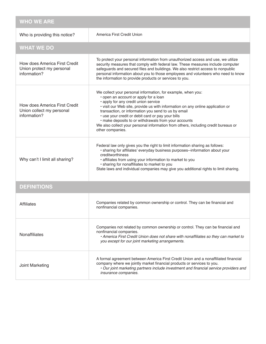| <b>WHO WE ARE</b>                                                          |                                                                                                                                                                                                                                                                                                                                                                                                                                                                                                               |
|----------------------------------------------------------------------------|---------------------------------------------------------------------------------------------------------------------------------------------------------------------------------------------------------------------------------------------------------------------------------------------------------------------------------------------------------------------------------------------------------------------------------------------------------------------------------------------------------------|
| Who is providing this notice?                                              | America First Credit Union                                                                                                                                                                                                                                                                                                                                                                                                                                                                                    |
| <b>WHAT WE DO</b>                                                          |                                                                                                                                                                                                                                                                                                                                                                                                                                                                                                               |
| How does America First Credit<br>Union protect my personal<br>information? | To protect your personal information from unauthorized access and use, we utilize<br>security measures that comply with federal law. These measures include computer<br>safeguards and secured files and buildings. We also restrict access to nonpublic<br>personal information about you to those employees and volunteers who need to know<br>the information to provide products or services to you.                                                                                                      |
| How does America First Credit<br>Union collect my personal<br>information? | We collect your personal information, for example, when you:<br>• open an account or apply for a loan<br>· apply for any credit union service<br>· visit our Web site, provide us with information on any online application or<br>transaction, or information you send to us by email<br>· use your credit or debit card or pay your bills<br>· make deposits to or withdrawals from your accounts<br>We also collect your personal information from others, including credit bureaus or<br>other companies. |
| Why can't I limit all sharing?                                             | Federal law only gives you the right to limit information sharing as follows:<br>· sharing for affiliates' everyday business purposes--information about your<br>creditworthiness<br>· affiliates from using your information to market to you<br>· sharing for nonaffiliates to market to you<br>State laws and individual companies may give you additional rights to limit sharing.                                                                                                                        |
| <b>DEFINITIONS</b>                                                         |                                                                                                                                                                                                                                                                                                                                                                                                                                                                                                               |
| <b>Affiliates</b>                                                          | Companies related by common ownership or control. They can be financial and<br>nonfinancial companies.                                                                                                                                                                                                                                                                                                                                                                                                        |
| <b>Nonaffiliates</b>                                                       | Companies not related by common ownership or control. They can be financial and<br>nonfinancial companies.<br>• America First Credit Union does not share with nonaffiliates so they can market to<br>you except for our joint marketing arrangements.                                                                                                                                                                                                                                                        |
| Joint Marketing                                                            | A formal agreement between America First Credit Union and a nonaffiliated financial<br>company where we jointly market financial products or services to you.<br>• Our joint marketing partners include investment and financial service providers and<br>insurance companies.                                                                                                                                                                                                                                |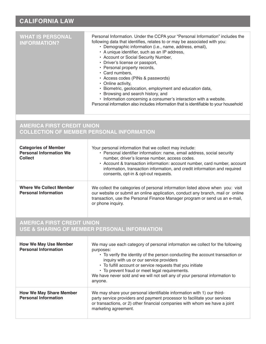## **CALIFORNIA LAW**

| <b>WHAT IS PERSONAL</b><br><b>INFORMATION?</b>                                  | Personal Information. Under the CCPA your "Personal Information" includes the<br>following data that identifies, relates to or may be associated with you:<br>• Demographic information (i.e., name, address, email),<br>• A unique identifier, such as an IP address,<br>• Account or Social Security Number,<br>• Driver's license or passport,<br>• Personal property records,<br>• Card numbers,<br>• Access codes (PINs & passwords)<br>• Online activity,<br>· Biometric, geolocation, employment and education data,<br>• Browsing and search history, and<br>• Information concerning a consumer's interaction with a website.<br>Personal information also includes information that is identifiable to your household |
|---------------------------------------------------------------------------------|---------------------------------------------------------------------------------------------------------------------------------------------------------------------------------------------------------------------------------------------------------------------------------------------------------------------------------------------------------------------------------------------------------------------------------------------------------------------------------------------------------------------------------------------------------------------------------------------------------------------------------------------------------------------------------------------------------------------------------|
| <b>AMERICA FIRST CREDIT UNION</b>                                               | <b>COLLECTION OF MEMBER PERSONAL INFORMATION</b>                                                                                                                                                                                                                                                                                                                                                                                                                                                                                                                                                                                                                                                                                |
| <b>Categories of Member</b><br><b>Personal Information We</b><br><b>Collect</b> | Your personal information that we collect may include:<br>• Personal identifier information: name, email address, social security<br>number, driver's license number, access codes.<br>• Account & transaction information: account number, card number, account<br>information, transaction information, and credit information and required<br>consents, opt-in & opt-out requests.                                                                                                                                                                                                                                                                                                                                           |
| <b>Where We Collect Member</b><br><b>Personal Information</b>                   | We collect the categories of personal information listed above when you: visit<br>our website or submit an online application, conduct any branch, mail or online<br>transaction, use the Personal Finance Manager program or send us an e-mail,<br>or phone inquiry.                                                                                                                                                                                                                                                                                                                                                                                                                                                           |

## **AMERICA FIRST CREDIT UNION USE & SHARING OF MEMBER PERSONAL INFORMATION**

| <b>How We May Use Member</b><br><b>Personal Information</b>   | We may use each category of personal information we collect for the following<br>purposes:<br>• To verify the identity of the person conducting the account transaction or<br>inquiry with us or our service providers<br>• To fulfill account or service requests that you initiate<br>• To prevent fraud or meet legal requirements.<br>We have never sold and we will not sell any of your personal information to<br>anyone. |
|---------------------------------------------------------------|----------------------------------------------------------------------------------------------------------------------------------------------------------------------------------------------------------------------------------------------------------------------------------------------------------------------------------------------------------------------------------------------------------------------------------|
| <b>How We May Share Member</b><br><b>Personal Information</b> | We may share your personal identifiable information with 1) our third-<br>party service providers and payment processor to facilitate your services<br>or transactions, or 2) other financial companies with whom we have a joint<br>marketing agreement.                                                                                                                                                                        |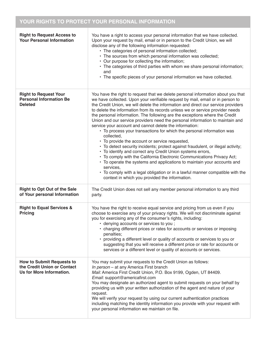# **YOUR RIGHTS TO PROTECT YOUR PERSONAL INFORMATION**

| <b>Right to Request Access to</b><br><b>Your Personal Information</b>                       | You have a right to access your personal information that we have collected.<br>Upon your request by mail, email or in person to the Credit Union, we will<br>disclose any of the following information requested:<br>• The categories of personal information collected;<br>• The sources from which personal information was collected;<br>• Our purpose for collecting the information;<br>• The categories of third parties with whom we share personal information;<br>and<br>• The specific pieces of your personal information we have collected.                                                                                                                                                                                                                                                                                                                                                                                                                                                                                                                                                                                                             |
|---------------------------------------------------------------------------------------------|----------------------------------------------------------------------------------------------------------------------------------------------------------------------------------------------------------------------------------------------------------------------------------------------------------------------------------------------------------------------------------------------------------------------------------------------------------------------------------------------------------------------------------------------------------------------------------------------------------------------------------------------------------------------------------------------------------------------------------------------------------------------------------------------------------------------------------------------------------------------------------------------------------------------------------------------------------------------------------------------------------------------------------------------------------------------------------------------------------------------------------------------------------------------|
| <b>Right to Request Your</b><br><b>Personal Information Be</b><br><b>Deleted</b>            | You have the right to request that we delete personal information about you that<br>we have collected. Upon your verifiable request by mail, email or in person to<br>the Credit Union, we will delete the information and direct our service providers<br>to delete the information from its records unless we or service provider needs<br>the personal information. The following are the exceptions where the Credit<br>Union and our service providers need the personal information to maintain and<br>service your account and cannot delete the information:<br>• To process your transactions for which the personal information was<br>collected,<br>• To provide the account or service requested,<br>• To detect security incidents; protect against fraudulent, or illegal activity;<br>• To identify and correct any Credit Union systems errors,<br>• To comply with the California Electronic Communications Privacy Act;<br>• To operate the systems and applications to maintain your accounts and<br>services,<br>• To comply with a legal obligation or in a lawful manner compatible with the<br>context in which you provided the information. |
| <b>Right to Opt Out of the Sale</b><br>of Your personal Information                         | The Credit Union does not sell any member personal information to any third<br>party.                                                                                                                                                                                                                                                                                                                                                                                                                                                                                                                                                                                                                                                                                                                                                                                                                                                                                                                                                                                                                                                                                |
| <b>Right to Equal Services &amp;</b><br><b>Pricing</b>                                      | You have the right to receive equal service and pricing from us even if you<br>choose to exercise any of your privacy rights. We will not discriminate against<br>you for exercising any of the consumer's rights, including:<br>· denying accounts or services to you;<br>• charging different prices or rates for accounts or services or imposing<br>penalties;<br>providing a different level or quality of accounts or services to you or<br>suggesting that you will receive a different price or rate for accounts or<br>services or a different level or quality of accounts or services.                                                                                                                                                                                                                                                                                                                                                                                                                                                                                                                                                                    |
| <b>How to Submit Requests to</b><br>the Credit Union or Contact<br>Us for More Information. | You may submit your requests to the Credit Union as follows:<br>In person - at any America First branch<br>Mail: America First Credit Union, P.O. Box 9199, Ogden, UT 84409.<br>Email: support@americafirst.com<br>You may designate an authorized agent to submit requests on your behalf by<br>providing us with your written authorization of the agent and nature of your<br>request.<br>We will verify your request by using our current authentication practices<br>including matching the identity information you provide with your request with<br>your personal information we maintain on file.                                                                                                                                                                                                                                                                                                                                                                                                                                                                                                                                                           |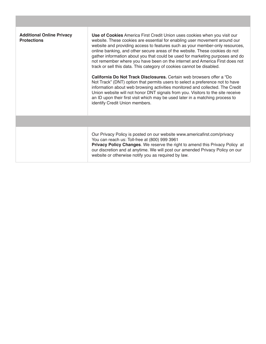| <b>Additional Online Privacy</b><br><b>Protections</b> | Use of Cookies America First Credit Union uses cookies when you visit our<br>website. These cookies are essential for enabling user movement around our<br>website and providing access to features such as your member-only resources,<br>online banking, and other secure areas of the website. These cookies do not<br>gather information about you that could be used for marketing purposes and do<br>not remember where you have been on the internet and America First does not<br>track or sell this data. This category of cookies cannot be disabled.<br>California Do Not Track Disclosures. Certain web browsers offer a "Do<br>Not Track" (DNT) option that permits users to select a preference not to have<br>information about web browsing activities monitored and collected. The Credit<br>Union website will not honor DNT signals from you. Visitors to the site receive<br>an ID upon their first visit which may be used later in a matching process to<br>identify Credit Union members. |
|--------------------------------------------------------|------------------------------------------------------------------------------------------------------------------------------------------------------------------------------------------------------------------------------------------------------------------------------------------------------------------------------------------------------------------------------------------------------------------------------------------------------------------------------------------------------------------------------------------------------------------------------------------------------------------------------------------------------------------------------------------------------------------------------------------------------------------------------------------------------------------------------------------------------------------------------------------------------------------------------------------------------------------------------------------------------------------|
|                                                        |                                                                                                                                                                                                                                                                                                                                                                                                                                                                                                                                                                                                                                                                                                                                                                                                                                                                                                                                                                                                                  |
|                                                        | Our Privacy Policy is posted on our website www.americafirst.com/privacy<br>You can reach us: Toll-free at (800) 999 3961<br>Privacy Policy Changes. We reserve the right to amend this Privacy Policy at<br>our discretion and at anytime. We will post our amended Privacy Policy on our<br>website or otherwise notify you as required by law.                                                                                                                                                                                                                                                                                                                                                                                                                                                                                                                                                                                                                                                                |